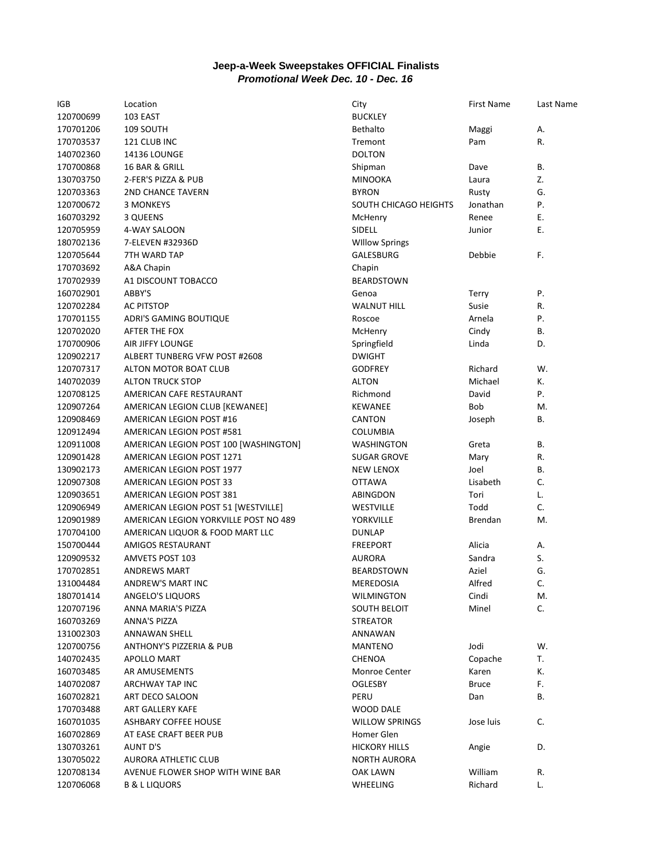## **Jeep-a-Week Sweepstakes OFFICIAL Finalists** *Promotional Week Dec. 10 - Dec. 16*

| IGB       | Location                              | City                  | <b>First Name</b> | Last Name |
|-----------|---------------------------------------|-----------------------|-------------------|-----------|
| 120700699 | 103 EAST                              | <b>BUCKLEY</b>        |                   |           |
| 170701206 | 109 SOUTH                             | <b>Bethalto</b>       | Maggi             | А.        |
| 170703537 | 121 CLUB INC                          | Tremont               | Pam               | R.        |
| 140702360 | <b>14136 LOUNGE</b>                   | <b>DOLTON</b>         |                   |           |
| 170700868 | 16 BAR & GRILL                        | Shipman               | Dave              | В.        |
| 130703750 | 2-FER'S PIZZA & PUB                   | <b>MINOOKA</b>        | Laura             | Z.        |
| 120703363 | <b>2ND CHANCE TAVERN</b>              | <b>BYRON</b>          | Rusty             | G.        |
| 120700672 | 3 MONKEYS                             | SOUTH CHICAGO HEIGHTS | Jonathan          | Ρ.        |
| 160703292 | 3 QUEENS                              | McHenry               | Renee             | Ε.        |
| 120705959 | 4-WAY SALOON                          | SIDELL                | Junior            | Ε.        |
| 180702136 | 7-ELEVEN #32936D                      | <b>Willow Springs</b> |                   |           |
| 120705644 | 7TH WARD TAP                          | GALESBURG             | Debbie            | F.        |
| 170703692 | A&A Chapin                            | Chapin                |                   |           |
| 170702939 | A1 DISCOUNT TOBACCO                   | <b>BEARDSTOWN</b>     |                   |           |
| 160702901 | ABBY'S                                | Genoa                 | <b>Terry</b>      | Ρ.        |
| 120702284 | <b>AC PITSTOP</b>                     | <b>WALNUT HILL</b>    | Susie             | R.        |
| 170701155 | ADRI'S GAMING BOUTIQUE                | Roscoe                | Arnela            | P.        |
| 120702020 | AFTER THE FOX                         | McHenry               | Cindy             | В.        |
| 170700906 | AIR JIFFY LOUNGE                      | Springfield           | Linda             | D.        |
| 120902217 | ALBERT TUNBERG VFW POST #2608         | <b>DWIGHT</b>         |                   |           |
| 120707317 | ALTON MOTOR BOAT CLUB                 | <b>GODFREY</b>        | Richard           | W.        |
| 140702039 | <b>ALTON TRUCK STOP</b>               | <b>ALTON</b>          | Michael           | К.        |
| 120708125 | AMERICAN CAFE RESTAURANT              | Richmond              | David             | Ρ.        |
| 120907264 | AMERICAN LEGION CLUB [KEWANEE]        | <b>KEWANEE</b>        | Bob               | M.        |
| 120908469 | AMERICAN LEGION POST #16              | <b>CANTON</b>         | Joseph            | В.        |
| 120912494 | AMERICAN LEGION POST #581             | <b>COLUMBIA</b>       |                   |           |
| 120911008 | AMERICAN LEGION POST 100 [WASHINGTON] | <b>WASHINGTON</b>     | Greta             | В.        |
| 120901428 | AMERICAN LEGION POST 1271             | <b>SUGAR GROVE</b>    | Mary              | R.        |
| 130902173 | AMERICAN LEGION POST 1977             | <b>NEW LENOX</b>      | Joel              | В.        |
| 120907308 | AMERICAN LEGION POST 33               | <b>OTTAWA</b>         | Lisabeth          | C.        |
| 120903651 | AMERICAN LEGION POST 381              | ABINGDON              | Tori              | L.        |
| 120906949 | AMERICAN LEGION POST 51 [WESTVILLE]   | WESTVILLE             | Todd              | C.        |
| 120901989 | AMERICAN LEGION YORKVILLE POST NO 489 | YORKVILLE             | Brendan           | M.        |
| 170704100 | AMERICAN LIQUOR & FOOD MART LLC       | <b>DUNLAP</b>         |                   |           |
| 150700444 | <b>AMIGOS RESTAURANT</b>              | <b>FREEPORT</b>       | Alicia            | А.        |
| 120909532 | <b>AMVETS POST 103</b>                | <b>AURORA</b>         | Sandra            | S.        |
| 170702851 | <b>ANDREWS MART</b>                   | BEARDSTOWN            | Aziel             | G.        |
| 131004484 | ANDREW'S MART INC                     | MEREDOSIA             | Alfred            | C.        |
| 180701414 | ANGELO'S LIQUORS                      | <b>WILMINGTON</b>     | Cindi             | M.        |
| 120707196 | ANNA MARIA'S PIZZA                    | SOUTH BELOIT          | Minel             | C.        |
| 160703269 | ANNA'S PIZZA                          | <b>STREATOR</b>       |                   |           |
| 131002303 | <b>ANNAWAN SHELL</b>                  | ANNAWAN               |                   |           |
| 120700756 | <b>ANTHONY'S PIZZERIA &amp; PUB</b>   | <b>MANTENO</b>        | Jodi              | W.        |
| 140702435 | APOLLO MART                           | <b>CHENOA</b>         | Copache           | T.        |
| 160703485 | AR AMUSEMENTS                         | <b>Monroe Center</b>  | Karen             | К.        |
| 140702087 | ARCHWAY TAP INC                       | <b>OGLESBY</b>        | <b>Bruce</b>      | F.        |
| 160702821 | ART DECO SALOON                       | PERU                  | Dan               | В.        |
| 170703488 | ART GALLERY KAFE                      | WOOD DALE             |                   |           |
| 160701035 | <b>ASHBARY COFFEE HOUSE</b>           | <b>WILLOW SPRINGS</b> | Jose luis         | C.        |
| 160702869 | AT EASE CRAFT BEER PUB                | Homer Glen            |                   |           |
| 130703261 | AUNT D'S                              | <b>HICKORY HILLS</b>  | Angie             | D.        |
| 130705022 | AURORA ATHLETIC CLUB                  | <b>NORTH AURORA</b>   |                   |           |
| 120708134 | AVENUE FLOWER SHOP WITH WINE BAR      | OAK LAWN              | William           | R.        |
| 120706068 | <b>B &amp; L LIQUORS</b>              | WHEELING              | Richard           | L.        |
|           |                                       |                       |                   |           |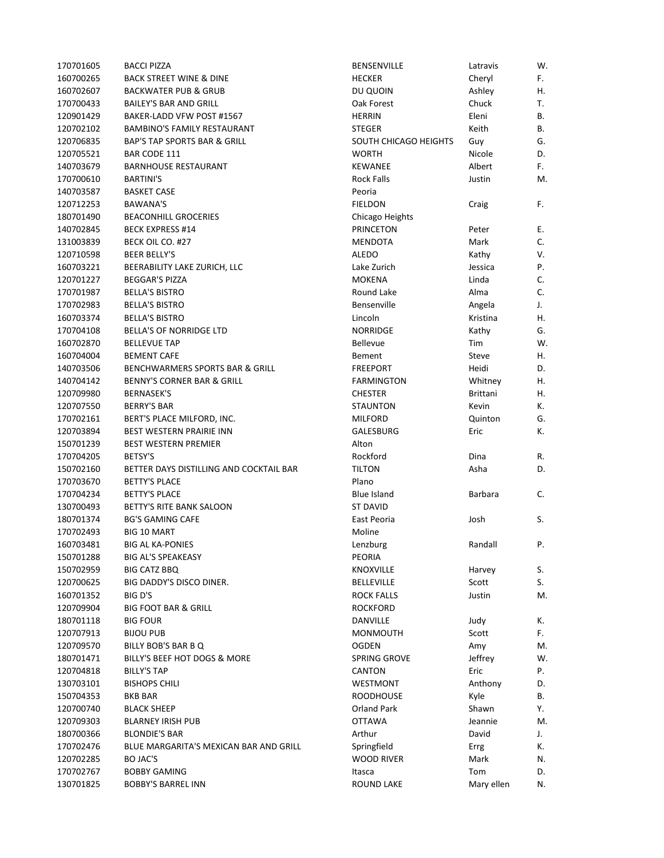| 170701605 | <b>BACCI PIZZA</b>                      | <b>BENSENVILLE</b>    | Latravis   | W. |
|-----------|-----------------------------------------|-----------------------|------------|----|
| 160700265 | <b>BACK STREET WINE &amp; DINE</b>      | <b>HECKER</b>         | Cheryl     | F. |
| 160702607 | <b>BACKWATER PUB &amp; GRUB</b>         | DU QUOIN              | Ashley     | Η. |
| 170700433 | <b>BAILEY'S BAR AND GRILL</b>           | Oak Forest            | Chuck      | T. |
| 120901429 | BAKER-LADD VFW POST #1567               | <b>HERRIN</b>         | Eleni      | В. |
| 120702102 | <b>BAMBINO'S FAMILY RESTAURANT</b>      | <b>STEGER</b>         | Keith      | В. |
| 120706835 | <b>BAP'S TAP SPORTS BAR &amp; GRILL</b> | SOUTH CHICAGO HEIGHTS | Guy        | G. |
| 120705521 | BAR CODE 111                            | <b>WORTH</b>          | Nicole     | D. |
| 140703679 | <b>BARNHOUSE RESTAURANT</b>             | <b>KEWANEE</b>        | Albert     | F. |
| 170700610 | <b>BARTINI'S</b>                        | <b>Rock Falls</b>     | Justin     | M. |
| 140703587 | <b>BASKET CASE</b>                      | Peoria                |            |    |
| 120712253 | BAWANA'S                                | <b>FIELDON</b>        | Craig      | F. |
| 180701490 | <b>BEACONHILL GROCERIES</b>             | Chicago Heights       |            |    |
| 140702845 | <b>BECK EXPRESS #14</b>                 | <b>PRINCETON</b>      | Peter      | Ε. |
| 131003839 | BECK OIL CO. #27                        | <b>MENDOTA</b>        | Mark       | C. |
| 120710598 | <b>BEER BELLY'S</b>                     | <b>ALEDO</b>          | Kathy      | ٧. |
| 160703221 | BEERABILITY LAKE ZURICH, LLC            | Lake Zurich           | Jessica    | Ρ. |
| 120701227 | <b>BEGGAR'S PIZZA</b>                   | <b>MOKENA</b>         | Linda      | C. |
| 170701987 | <b>BELLA'S BISTRO</b>                   | Round Lake            | Alma       | C. |
| 170702983 | <b>BELLA'S BISTRO</b>                   | Bensenville           | Angela     | J. |
| 160703374 | <b>BELLA'S BISTRO</b>                   | Lincoln               | Kristina   | Η. |
| 170704108 | <b>BELLA'S OF NORRIDGE LTD</b>          | <b>NORRIDGE</b>       | Kathy      | G. |
| 160702870 | <b>BELLEVUE TAP</b>                     | <b>Bellevue</b>       | Tim        | W. |
| 160704004 | <b>BEMENT CAFE</b>                      | <b>Bement</b>         | Steve      | Η. |
| 140703506 | BENCHWARMERS SPORTS BAR & GRILL         | <b>FREEPORT</b>       | Heidi      | D. |
| 140704142 | <b>BENNY'S CORNER BAR &amp; GRILL</b>   |                       |            | Η. |
|           |                                         | <b>FARMINGTON</b>     | Whitney    |    |
| 120709980 | <b>BERNASEK'S</b>                       | <b>CHESTER</b>        | Brittani   | Η. |
| 120707550 | <b>BERRY'S BAR</b>                      | <b>STAUNTON</b>       | Kevin      | К. |
| 170702161 | BERT'S PLACE MILFORD, INC.              | <b>MILFORD</b>        | Quinton    | G. |
| 120703894 | <b>BEST WESTERN PRAIRIE INN</b>         | GALESBURG             | Eric       | К. |
| 150701239 | <b>BEST WESTERN PREMIER</b>             | Alton                 |            |    |
| 170704205 | <b>BETSY'S</b>                          | Rockford              | Dina       | R. |
| 150702160 | BETTER DAYS DISTILLING AND COCKTAIL BAR | <b>TILTON</b>         | Asha       | D. |
| 170703670 | <b>BETTY'S PLACE</b>                    | Plano                 |            |    |
| 170704234 | <b>BETTY'S PLACE</b>                    | <b>Blue Island</b>    | Barbara    | C. |
| 130700493 | <b>BETTY'S RITE BANK SALOON</b>         | <b>ST DAVID</b>       |            |    |
| 180701374 | <b>BG'S GAMING CAFE</b>                 | East Peoria           | Josh       | S. |
| 170702493 | <b>BIG 10 MART</b>                      | Moline                |            |    |
| 160703481 | <b>BIG AL KA-PONIES</b>                 | Lenzburg              | Randall    | Ρ. |
| 150701288 | BIG AL'S SPEAKEASY                      | PEORIA                |            |    |
| 150702959 | <b>BIG CATZ BBQ</b>                     | KNOXVILLE             | Harvey     | S. |
| 120700625 | BIG DADDY'S DISCO DINER.                | <b>BELLEVILLE</b>     | Scott      | S. |
| 160701352 | BIG D'S                                 | <b>ROCK FALLS</b>     | Justin     | M. |
| 120709904 | <b>BIG FOOT BAR &amp; GRILL</b>         | <b>ROCKFORD</b>       |            |    |
| 180701118 | <b>BIG FOUR</b>                         | DANVILLE              | Judy       | К. |
| 120707913 | <b>BIJOU PUB</b>                        | MONMOUTH              | Scott      | F. |
| 120709570 | BILLY BOB'S BAR B Q                     | <b>OGDEN</b>          | Amy        | M. |
| 180701471 | BILLY'S BEEF HOT DOGS & MORE            | SPRING GROVE          | Jeffrey    | W. |
| 120704818 | <b>BILLY'S TAP</b>                      | CANTON                | Eric       | Ρ. |
| 130703101 | <b>BISHOPS CHILI</b>                    | WESTMONT              | Anthony    | D. |
| 150704353 | <b>BKB BAR</b>                          | <b>ROODHOUSE</b>      | Kyle       | В. |
| 120700740 | <b>BLACK SHEEP</b>                      | <b>Orland Park</b>    | Shawn      | Υ. |
| 120709303 | <b>BLARNEY IRISH PUB</b>                | <b>OTTAWA</b>         | Jeannie    | M. |
| 180700366 | <b>BLONDIE'S BAR</b>                    | Arthur                | David      | J. |
| 170702476 | BLUE MARGARITA'S MEXICAN BAR AND GRILL  | Springfield           | Errg       | К. |
| 120702285 | BO JAC'S                                | WOOD RIVER            | Mark       | N. |
| 170702767 | <b>BOBBY GAMING</b>                     | Itasca                | Tom        | D. |
| 130701825 | <b>BOBBY'S BARREL INN</b>               | <b>ROUND LAKE</b>     | Mary ellen | N. |
|           |                                         |                       |            |    |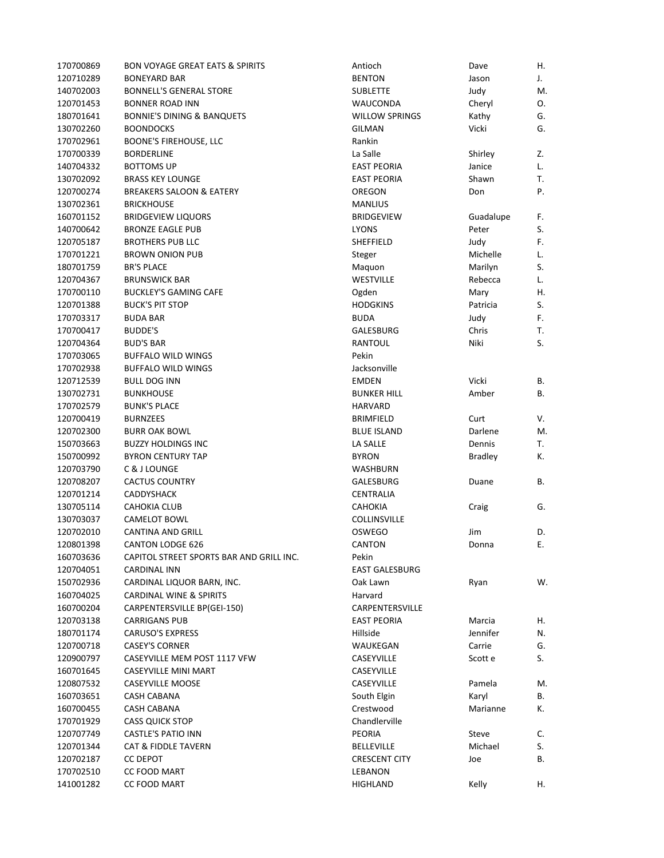| 170700869 | <b>BON VOYAGE GREAT EATS &amp; SPIRITS</b> | Antioch               | Dave           | Η. |
|-----------|--------------------------------------------|-----------------------|----------------|----|
| 120710289 | <b>BONEYARD BAR</b>                        | <b>BENTON</b>         | Jason          | J. |
| 140702003 | <b>BONNELL'S GENERAL STORE</b>             | <b>SUBLETTE</b>       | Judy           | M. |
| 120701453 | <b>BONNER ROAD INN</b>                     | WAUCONDA              | Cheryl         | О. |
| 180701641 | <b>BONNIE'S DINING &amp; BANQUETS</b>      | <b>WILLOW SPRINGS</b> | Kathy          | G. |
| 130702260 | <b>BOONDOCKS</b>                           | <b>GILMAN</b>         | Vicki          | G. |
| 170702961 | <b>BOONE'S FIREHOUSE, LLC</b>              | Rankin                |                |    |
| 170700339 | <b>BORDERLINE</b>                          | La Salle              | Shirley        | Z. |
| 140704332 | BOTTOMS UP                                 | <b>EAST PEORIA</b>    | Janice         | L. |
| 130702092 | <b>BRASS KEY LOUNGE</b>                    | <b>EAST PEORIA</b>    | Shawn          | T. |
| 120700274 | <b>BREAKERS SALOON &amp; EATERY</b>        | OREGON                | Don            | Ρ. |
| 130702361 | <b>BRICKHOUSE</b>                          | <b>MANLIUS</b>        |                |    |
| 160701152 | <b>BRIDGEVIEW LIQUORS</b>                  | <b>BRIDGEVIEW</b>     | Guadalupe      | F. |
| 140700642 | <b>BRONZE EAGLE PUB</b>                    | <b>LYONS</b>          | Peter          | S. |
| 120705187 | <b>BROTHERS PUB LLC</b>                    | SHEFFIELD             | Judy           | F. |
| 170701221 | <b>BROWN ONION PUB</b>                     | Steger                | Michelle       | L. |
| 180701759 | <b>BR'S PLACE</b>                          | Maquon                | Marilyn        | S. |
| 120704367 | <b>BRUNSWICK BAR</b>                       | <b>WESTVILLE</b>      | Rebecca        | L. |
| 170700110 | <b>BUCKLEY'S GAMING CAFE</b>               | Ogden                 | Mary           | Η. |
| 120701388 | <b>BUCK'S PIT STOP</b>                     | <b>HODGKINS</b>       | Patricia       | S. |
|           |                                            |                       |                |    |
| 170703317 | <b>BUDA BAR</b>                            | <b>BUDA</b>           | Judy           | F. |
| 170700417 | <b>BUDDE'S</b>                             | GALESBURG             | Chris          | Т. |
| 120704364 | <b>BUD'S BAR</b>                           | RANTOUL               | Niki           | S. |
| 170703065 | <b>BUFFALO WILD WINGS</b>                  | Pekin                 |                |    |
| 170702938 | <b>BUFFALO WILD WINGS</b>                  | Jacksonville          |                |    |
| 120712539 | BULL DOG INN                               | <b>EMDEN</b>          | Vicki          | В. |
| 130702731 | BUNKHOUSE                                  | <b>BUNKER HILL</b>    | Amber          | В. |
| 170702579 | <b>BUNK'S PLACE</b>                        | <b>HARVARD</b>        |                |    |
| 120700419 | <b>BURNZEES</b>                            | <b>BRIMFIELD</b>      | Curt           | V. |
| 120702300 | <b>BURR OAK BOWL</b>                       | <b>BLUE ISLAND</b>    | Darlene        | M. |
| 150703663 | <b>BUZZY HOLDINGS INC</b>                  | LA SALLE              | Dennis         | Т. |
| 150700992 | <b>BYRON CENTURY TAP</b>                   | <b>BYRON</b>          | <b>Bradley</b> | К. |
| 120703790 | C & J LOUNGE                               | WASHBURN              |                |    |
| 120708207 | <b>CACTUS COUNTRY</b>                      | GALESBURG             | Duane          | В. |
| 120701214 | <b>CADDYSHACK</b>                          | CENTRALIA             |                |    |
| 130705114 | <b>CAHOKIA CLUB</b>                        | <b>CAHOKIA</b>        | Craig          | G. |
| 130703037 | <b>CAMELOT BOWL</b>                        | <b>COLLINSVILLE</b>   |                |    |
| 120702010 | <b>CANTINA AND GRILL</b>                   | <b>OSWEGO</b>         | Jim            | D. |
| 120801398 | <b>CANTON LODGE 626</b>                    | <b>CANTON</b>         | Donna          | Ε. |
| 160703636 | CAPITOL STREET SPORTS BAR AND GRILL INC.   | Pekin                 |                |    |
| 120704051 | CARDINAL INN                               | EAST GALESBURG        |                |    |
| 150702936 | CARDINAL LIQUOR BARN, INC.                 | Oak Lawn              | Ryan           | W. |
| 160704025 | CARDINAL WINE & SPIRITS                    | Harvard               |                |    |
| 160700204 | CARPENTERSVILLE BP(GEI-150)                | CARPENTERSVILLE       |                |    |
| 120703138 | <b>CARRIGANS PUB</b>                       | <b>EAST PEORIA</b>    | Marcia         | Η. |
| 180701174 | <b>CARUSO'S EXPRESS</b>                    | Hillside              | Jennifer       | N. |
| 120700718 | <b>CASEY'S CORNER</b>                      | WAUKEGAN              | Carrie         | G. |
| 120900797 | CASEYVILLE MEM POST 1117 VFW               | CASEYVILLE            | Scott e        | S. |
| 160701645 | CASEYVILLE MINI MART                       | CASEYVILLE            |                |    |
| 120807532 | <b>CASEYVILLE MOOSE</b>                    | CASEYVILLE            | Pamela         | M. |
| 160703651 | <b>CASH CABANA</b>                         | South Elgin           | Karyl          | В. |
| 160700455 | CASH CABANA                                | Crestwood             | Marianne       | К. |
| 170701929 | <b>CASS QUICK STOP</b>                     | Chandlerville         |                |    |
| 120707749 | CASTLE'S PATIO INN                         | PEORIA                | Steve          | C. |
| 120701344 | CAT & FIDDLE TAVERN                        | <b>BELLEVILLE</b>     | Michael        | S. |
| 120702187 | CC DEPOT                                   | <b>CRESCENT CITY</b>  | Joe            | В. |
| 170702510 |                                            |                       |                |    |
|           | CC FOOD MART                               | LEBANON               |                |    |
| 141001282 | CC FOOD MART                               | HIGHLAND              | Kelly          | Η. |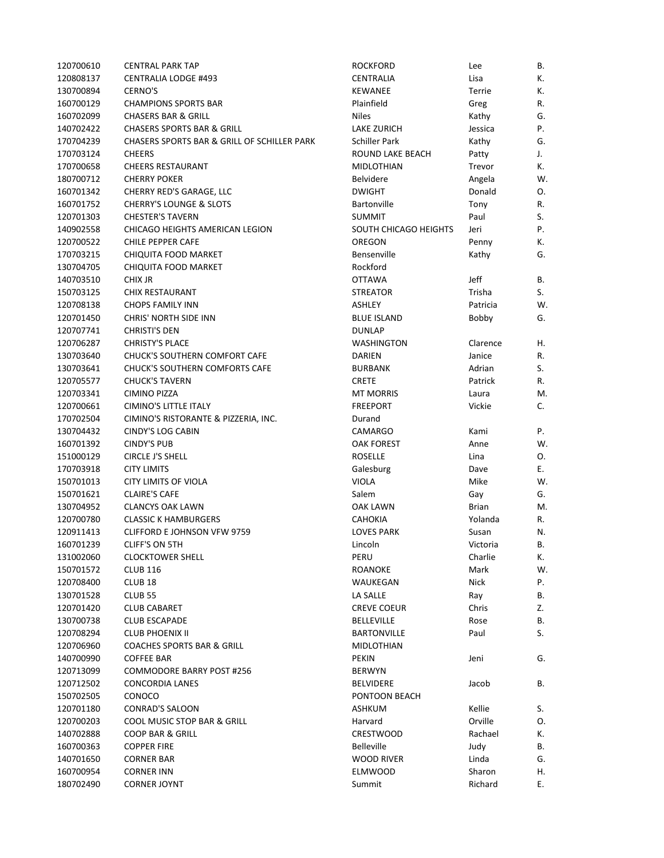| 120700610 | <b>CENTRAL PARK TAP</b>                     | <b>ROCKFORD</b>       | Lee          | В. |
|-----------|---------------------------------------------|-----------------------|--------------|----|
| 120808137 | <b>CENTRALIA LODGE #493</b>                 | CENTRALIA             | Lisa         | К. |
| 130700894 | <b>CERNO'S</b>                              | <b>KEWANEE</b>        | Terrie       | К. |
| 160700129 | <b>CHAMPIONS SPORTS BAR</b>                 | Plainfield            | Greg         | R. |
| 160702099 | <b>CHASERS BAR &amp; GRILL</b>              | <b>Niles</b>          | Kathy        | G. |
| 140702422 | <b>CHASERS SPORTS BAR &amp; GRILL</b>       | LAKE ZURICH           | Jessica      | Ρ. |
| 170704239 | CHASERS SPORTS BAR & GRILL OF SCHILLER PARK | <b>Schiller Park</b>  | Kathy        | G. |
| 170703124 | <b>CHEERS</b>                               | ROUND LAKE BEACH      | Patty        | J. |
| 170700658 | <b>CHEERS RESTAURANT</b>                    | <b>MIDLOTHIAN</b>     | Trevor       | К. |
| 180700712 | <b>CHERRY POKER</b>                         | <b>Belvidere</b>      | Angela       | W. |
| 160701342 | CHERRY RED'S GARAGE, LLC                    | <b>DWIGHT</b>         | Donald       | О. |
| 160701752 | <b>CHERRY'S LOUNGE &amp; SLOTS</b>          | Bartonville           | Tony         | R. |
| 120701303 | <b>CHESTER'S TAVERN</b>                     | <b>SUMMIT</b>         | Paul         | S. |
| 140902558 | CHICAGO HEIGHTS AMERICAN LEGION             | SOUTH CHICAGO HEIGHTS | Jeri         | Ρ. |
| 120700522 | CHILE PEPPER CAFE                           | OREGON                | Penny        | К. |
| 170703215 | CHIQUITA FOOD MARKET                        | Bensenville           | Kathy        | G. |
| 130704705 | CHIQUITA FOOD MARKET                        | Rockford              |              |    |
| 140703510 | <b>CHIX JR</b>                              | <b>OTTAWA</b>         | Jeff         | В. |
| 150703125 | CHIX RESTAURANT                             | <b>STREATOR</b>       | Trisha       | S. |
| 120708138 | <b>CHOPS FAMILY INN</b>                     | <b>ASHLEY</b>         | Patricia     | W. |
| 120701450 | <b>CHRIS' NORTH SIDE INN</b>                | <b>BLUE ISLAND</b>    | Bobby        | G. |
| 120707741 | <b>CHRISTI'S DEN</b>                        | <b>DUNLAP</b>         |              |    |
|           | <b>CHRISTY'S PLACE</b>                      |                       |              |    |
| 120706287 |                                             | WASHINGTON            | Clarence     | Η. |
| 130703640 | CHUCK'S SOUTHERN COMFORT CAFE               | DARIEN                | Janice       | R. |
| 130703641 | <b>CHUCK'S SOUTHERN COMFORTS CAFE</b>       | <b>BURBANK</b>        | Adrian       | S. |
| 120705577 | <b>CHUCK'S TAVERN</b>                       | <b>CRETE</b>          | Patrick      | R. |
| 120703341 | <b>CIMINO PIZZA</b>                         | <b>MT MORRIS</b>      | Laura        | М. |
| 120700661 | CIMINO'S LITTLE ITALY                       | <b>FREEPORT</b>       | Vickie       | С. |
| 170702504 | CIMINO'S RISTORANTE & PIZZERIA, INC.        | Durand                |              |    |
| 130704432 | <b>CINDY'S LOG CABIN</b>                    | CAMARGO               | Kami         | Ρ. |
| 160701392 | <b>CINDY'S PUB</b>                          | OAK FOREST            | Anne         | W. |
| 151000129 | CIRCLE J'S SHELL                            | <b>ROSELLE</b>        | Lina         | О. |
| 170703918 | <b>CITY LIMITS</b>                          | Galesburg             | Dave         | Е. |
| 150701013 | <b>CITY LIMITS OF VIOLA</b>                 | <b>VIOLA</b>          | Mike         | W. |
| 150701621 | <b>CLAIRE'S CAFE</b>                        | Salem                 | Gay          | G. |
| 130704952 | <b>CLANCYS OAK LAWN</b>                     | OAK LAWN              | <b>Brian</b> | М. |
| 120700780 | <b>CLASSIC K HAMBURGERS</b>                 | <b>CAHOKIA</b>        | Yolanda      | R. |
| 120911413 | <b>CLIFFORD E JOHNSON VFW 9759</b>          | <b>LOVES PARK</b>     | Susan        | N. |
| 160701239 | CLIFF'S ON 5TH                              | Lincoln               | Victoria     | В. |
| 131002060 | <b>CLOCKTOWER SHELL</b>                     | PERU                  | Charlie      | К. |
| 150701572 | <b>CLUB 116</b>                             | ROANOKE               | Mark         | W. |
| 120708400 | CLUB <sub>18</sub>                          | WAUKEGAN              | <b>Nick</b>  | Ρ. |
| 130701528 | <b>CLUB 55</b>                              | LA SALLE              | Ray          | В. |
| 120701420 | <b>CLUB CABARET</b>                         | CREVE COEUR           | Chris        | Z. |
| 130700738 | <b>CLUB ESCAPADE</b>                        | <b>BELLEVILLE</b>     | Rose         | В. |
| 120708294 | <b>CLUB PHOENIX II</b>                      | <b>BARTONVILLE</b>    | Paul         | S. |
| 120706960 | <b>COACHES SPORTS BAR &amp; GRILL</b>       | MIDLOTHIAN            |              |    |
| 140700990 | <b>COFFEE BAR</b>                           | <b>PEKIN</b>          | Jeni         | G. |
| 120713099 | COMMODORE BARRY POST #256                   | <b>BERWYN</b>         |              |    |
| 120712502 | <b>CONCORDIA LANES</b>                      | <b>BELVIDERE</b>      | Jacob        | В. |
| 150702505 | CONOCO                                      | PONTOON BEACH         |              |    |
| 120701180 | CONRAD'S SALOON                             | ASHKUM                | Kellie       | S. |
| 120700203 | COOL MUSIC STOP BAR & GRILL                 | Harvard               | Orville      | О. |
| 140702888 | COOP BAR & GRILL                            | <b>CRESTWOOD</b>      | Rachael      | К. |
| 160700363 | <b>COPPER FIRE</b>                          | <b>Belleville</b>     | Judy         | В. |
| 140701650 | <b>CORNER BAR</b>                           | WOOD RIVER            | Linda        | G. |
| 160700954 | <b>CORNER INN</b>                           | <b>ELMWOOD</b>        | Sharon       | Н. |
| 180702490 | <b>CORNER JOYNT</b>                         | Summit                | Richard      | Е. |
|           |                                             |                       |              |    |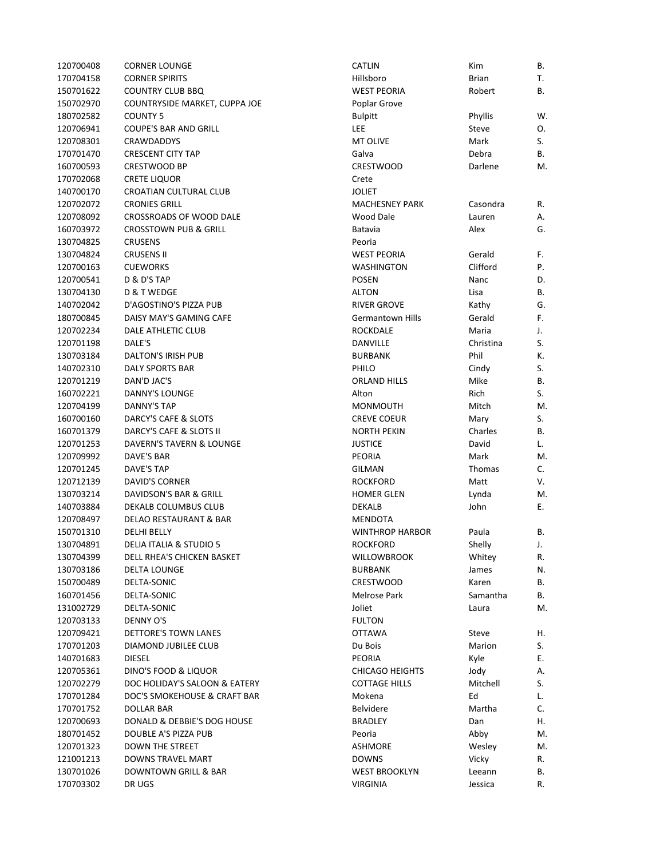| 120700408 | <b>CORNER LOUNGE</b>             | CATLIN                 | Kim          | В.       |
|-----------|----------------------------------|------------------------|--------------|----------|
| 170704158 | <b>CORNER SPIRITS</b>            | Hillsboro              | <b>Brian</b> | Т.       |
| 150701622 | <b>COUNTRY CLUB BBQ</b>          | <b>WEST PEORIA</b>     | Robert       | В.       |
| 150702970 | COUNTRYSIDE MARKET, CUPPA JOE    | Poplar Grove           |              |          |
| 180702582 | <b>COUNTY 5</b>                  | <b>Bulpitt</b>         | Phyllis      | W.       |
| 120706941 | <b>COUPE'S BAR AND GRILL</b>     | LEE                    | Steve        | О.       |
| 120708301 | <b>CRAWDADDYS</b>                | MT OLIVE               | Mark         | S.       |
| 170701470 | <b>CRESCENT CITY TAP</b>         | Galva                  | Debra        | В.       |
| 160700593 | CRESTWOOD BP                     | CRESTWOOD              | Darlene      | M.       |
| 170702068 | CRETE LIQUOR                     | Crete                  |              |          |
| 140700170 | CROATIAN CULTURAL CLUB           | <b>JOLIET</b>          |              |          |
| 120702072 | <b>CRONIES GRILL</b>             | <b>MACHESNEY PARK</b>  | Casondra     | R.       |
| 120708092 | CROSSROADS OF WOOD DALE          | <b>Wood Dale</b>       | Lauren       | Α.       |
| 160703972 | <b>CROSSTOWN PUB &amp; GRILL</b> | Batavia                | Alex         | G.       |
| 130704825 | <b>CRUSENS</b>                   | Peoria                 |              |          |
| 130704824 | <b>CRUSENS II</b>                | <b>WEST PEORIA</b>     | Gerald       | F.       |
| 120700163 | <b>CUEWORKS</b>                  | <b>WASHINGTON</b>      | Clifford     | Ρ.       |
| 120700541 | D & D'S TAP                      | <b>POSEN</b>           | Nanc         | D.       |
| 130704130 | <b>D &amp; T WEDGE</b>           | <b>ALTON</b>           | Lisa         | В.       |
| 140702042 | D'AGOSTINO'S PIZZA PUB           | <b>RIVER GROVE</b>     | Kathy        | G.       |
| 180700845 | DAISY MAY'S GAMING CAFE          | Germantown Hills       | Gerald       | F.       |
| 120702234 | <b>DALE ATHLETIC CLUB</b>        | ROCKDALE               | Maria        | J.       |
| 120701198 | DALE'S                           | DANVILLE               | Christina    | S.       |
| 130703184 | <b>DALTON'S IRISH PUB</b>        | <b>BURBANK</b>         | Phil         | К.       |
| 140702310 | <b>DALY SPORTS BAR</b>           | PHILO                  | Cindy        | S.       |
| 120701219 | DAN'D JAC'S                      | <b>ORLAND HILLS</b>    | Mike         | В.       |
| 160702221 | DANNY'S LOUNGE                   | Alton                  | Rich         | S.       |
| 120704199 | <b>DANNY'S TAP</b>               | <b>MONMOUTH</b>        | Mitch        | M.       |
| 160700160 | DARCY'S CAFE & SLOTS             | <b>CREVE COEUR</b>     | Mary         | S.       |
| 160701379 | DARCY'S CAFE & SLOTS II          | <b>NORTH PEKIN</b>     | Charles      | В.       |
| 120701253 | DAVERN'S TAVERN & LOUNGE         | <b>JUSTICE</b>         | David        | L.       |
| 120709992 | DAVE'S BAR                       | <b>PEORIA</b>          | Mark         | M.       |
| 120701245 | DAVE'S TAP                       | GILMAN                 | Thomas       | C.       |
| 120712139 | <b>DAVID'S CORNER</b>            | <b>ROCKFORD</b>        | Matt         | V.       |
| 130703214 | DAVIDSON'S BAR & GRILL           | <b>HOMER GLEN</b>      | Lynda        | M.       |
| 140703884 | DEKALB COLUMBUS CLUB             | DEKALB                 | John         | Е.       |
| 120708497 | DELAO RESTAURANT & BAR           | <b>MENDOTA</b>         |              |          |
| 150701310 | <b>DELHI BELLY</b>               | <b>WINTHROP HARBOR</b> | Paula        | В.       |
| 130704891 | DELIA ITALIA & STUDIO 5          | <b>ROCKFORD</b>        | Shelly       | J.       |
| 130704399 | DELL RHEA'S CHICKEN BASKET       | <b>WILLOWBROOK</b>     | Whitey       |          |
| 130703186 | DELTA LOUNGE                     | BURBANK                | James        | R.<br>N. |
| 150700489 | DELTA-SONIC                      | <b>CRESTWOOD</b>       | Karen        | В.       |
| 160701456 | DELTA-SONIC                      | Melrose Park           | Samantha     | В.       |
| 131002729 | DELTA-SONIC                      | Joliet                 |              |          |
| 120703133 | <b>DENNY O'S</b>                 | <b>FULTON</b>          | Laura        | М.       |
| 120709421 | <b>DETTORE'S TOWN LANES</b>      | <b>OTTAWA</b>          |              |          |
| 170701203 |                                  |                        | Steve        | Η.       |
|           | DIAMOND JUBILEE CLUB             | Du Bois                | Marion       | S.       |
| 140701683 | <b>DIESEL</b>                    | <b>PEORIA</b>          | Kyle         | Ε.       |
| 120705361 | DINO'S FOOD & LIQUOR             | <b>CHICAGO HEIGHTS</b> | Jody         | Α.       |
| 120702279 | DOC HOLIDAY'S SALOON & EATERY    | <b>COTTAGE HILLS</b>   | Mitchell     | S.       |
| 170701284 | DOC'S SMOKEHOUSE & CRAFT BAR     | Mokena                 | Ed           | L.       |
| 170701752 | <b>DOLLAR BAR</b>                | Belvidere              | Martha       | C.       |
| 120700693 | DONALD & DEBBIE'S DOG HOUSE      | BRADLEY                | Dan          | Η.       |
| 180701452 | DOUBLE A'S PIZZA PUB             | Peoria                 | Abby         | M.       |
| 120701323 | <b>DOWN THE STREET</b>           | <b>ASHMORE</b>         | Wesley       | М.       |
| 121001213 | DOWNS TRAVEL MART                | <b>DOWNS</b>           | Vicky        | R.       |
| 130701026 | DOWNTOWN GRILL & BAR             | <b>WEST BROOKLYN</b>   | Leeann       | В.       |
| 170703302 | DR UGS                           | <b>VIRGINIA</b>        | Jessica      | R.       |

| <b>CATLIN</b>           | Kim           | В. |
|-------------------------|---------------|----|
| Hillsboro               | <b>Brian</b>  | Т. |
| <b>WEST PEORIA</b>      | Robert        | В. |
| Poplar Grove            |               |    |
| <b>Bulpitt</b>          | Phyllis       | W. |
| LEE                     | Steve         | Ο. |
| <b>MT OLIVE</b>         | Mark          | S. |
| Galva                   | Debra         | В. |
| <b>CRESTWOOD</b>        | Darlene       | М. |
| Crete                   |               |    |
| JOLIET                  |               |    |
| MACHESNEY PARK          | Casondra      | R. |
| Wood Dale               | Lauren        | А. |
| Batavia                 | Alex          | G. |
| Peoria                  |               |    |
| <b>WEST PEORIA</b>      | Gerald        | F. |
| WASHINGTON              | Clifford      | P. |
| <b>POSEN</b>            | Nanc          | D. |
| <b>ALTON</b>            | Lisa          | В. |
| <b>RIVER GROVE</b>      | Kathy         | G. |
| <b>Germantown Hills</b> | Gerald        | F. |
| ROCKDALE                | Maria         | J. |
| DANVILLE                | Christina     | S. |
| <b>BURBANK</b>          | Phil          | К. |
| PHILO                   | Cindy         | S. |
| <b>ORLAND HILLS</b>     | Mike          | В. |
| Alton                   | Rich          | S. |
| MONMOUTH                | Mitch         | M. |
| <b>CREVE COEUR</b>      | Mary          | S. |
| <b>NORTH PEKIN</b>      | Charles       | В. |
| JUSTICE                 | David         | L. |
| PEORIA                  | Mark          | М. |
| <b>GILMAN</b>           | <b>Thomas</b> | C. |
| <b>ROCKFORD</b>         | Matt          | V. |
| <b>HOMER GLEN</b>       | Lynda         | М. |
| <b>DEKALB</b>           | John          | Ε. |
| <b>MENDOTA</b>          |               |    |
| <b>WINTHROP HARBOR</b>  | Paula         | В. |
| <b>ROCKFORD</b>         | Shelly        | J. |
| WILLOWBROOK             | Whitey        | R. |
| <b>BURBANK</b>          | James         | N. |
| <b>CRESTWOOD</b>        | Karen         | В. |
| Melrose Park            | Samantha      | В. |
| Joliet                  | Laura         | М. |
| <b>FULTON</b>           |               |    |
| <b>OTTAWA</b>           | Steve         | Η. |
| Du Bois                 | Marion        | S. |
| <b>PEORIA</b>           | Kyle          | Ε. |
| <b>CHICAGO HEIGHTS</b>  | Jody          | А. |
| <b>COTTAGE HILLS</b>    | Mitchell      | S. |
| Mokena                  | Ed            | L. |
| <b>Belvidere</b>        | Martha        | C. |
| <b>BRADLEY</b>          | Dan           | Η. |
| Peoria                  | Abby          | М. |
| <b>ASHMORE</b>          | Wesley        | М. |
| <b>DOWNS</b>            | Vicky         | R. |
| <b>WEST BROOKLYN</b>    | Leeann        | В. |
| <b>VIRGINIA</b>         | Jessica       | R. |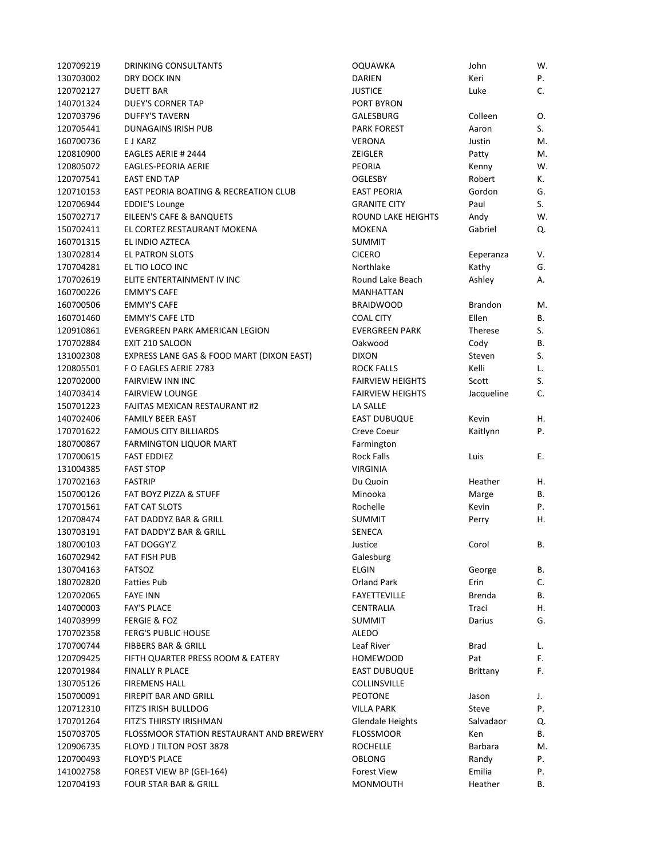| 120709219 | DRINKING CONSULTANTS                             | <b>OQUAWKA</b>          | John               | W. |
|-----------|--------------------------------------------------|-------------------------|--------------------|----|
| 130703002 | DRY DOCK INN                                     | <b>DARIEN</b>           | Keri               | Ρ. |
| 120702127 | <b>DUETT BAR</b>                                 | <b>JUSTICE</b>          | Luke               | C. |
| 140701324 | <b>DUEY'S CORNER TAP</b>                         | PORT BYRON              |                    |    |
| 120703796 | <b>DUFFY'S TAVERN</b>                            | GALESBURG               | Colleen            | 0. |
| 120705441 | DUNAGAINS IRISH PUB                              | <b>PARK FOREST</b>      | Aaron              | S. |
| 160700736 | E J KARZ                                         | VERONA                  | Justin             | M. |
| 120810900 | EAGLES AERIE # 2444                              | ZEIGLER                 | Patty              | M. |
| 120805072 | EAGLES-PEORIA AERIE                              | PEORIA                  | Kenny              | W. |
| 120707541 | <b>EAST END TAP</b>                              | <b>OGLESBY</b>          | Robert             | К. |
| 120710153 | <b>EAST PEORIA BOATING &amp; RECREATION CLUB</b> | <b>EAST PEORIA</b>      | Gordon             | G. |
| 120706944 | <b>EDDIE'S Lounge</b>                            | <b>GRANITE CITY</b>     | Paul               | S. |
| 150702717 | EILEEN'S CAFE & BANQUETS                         | ROUND LAKE HEIGHTS      | Andy               | W. |
| 150702411 | EL CORTEZ RESTAURANT MOKENA                      | <b>MOKENA</b>           | Gabriel            | Q. |
| 160701315 | EL INDIO AZTECA                                  | <b>SUMMIT</b>           |                    |    |
| 130702814 | EL PATRON SLOTS                                  | <b>CICERO</b>           |                    | V. |
| 170704281 | EL TIO LOCO INC                                  | Northlake               | Eeperanza<br>Kathy | G. |
| 170702619 | ELITE ENTERTAINMENT IV INC                       | Round Lake Beach        | Ashley             |    |
|           |                                                  |                         |                    | Α. |
| 160700226 | <b>EMMY'S CAFE</b>                               | <b>MANHATTAN</b>        |                    |    |
| 160700506 | <b>EMMY'S CAFE</b>                               | <b>BRAIDWOOD</b>        | <b>Brandon</b>     | M. |
| 160701460 | <b>EMMY'S CAFE LTD</b>                           | <b>COAL CITY</b>        | Ellen              | В. |
| 120910861 | EVERGREEN PARK AMERICAN LEGION                   | <b>EVERGREEN PARK</b>   | Therese            | S. |
| 170702884 | EXIT 210 SALOON                                  | Oakwood                 | Cody               | В. |
| 131002308 | EXPRESS LANE GAS & FOOD MART (DIXON EAST)        | <b>DIXON</b>            | Steven             | S. |
| 120805501 | F O EAGLES AERIE 2783                            | ROCK FALLS              | Kelli              | L. |
| 120702000 | <b>FAIRVIEW INN INC</b>                          | <b>FAIRVIEW HEIGHTS</b> | Scott              | S. |
| 140703414 | <b>FAIRVIEW LOUNGE</b>                           | <b>FAIRVIEW HEIGHTS</b> | Jacqueline         | C. |
| 150701223 | <b>FAJITAS MEXICAN RESTAURANT #2</b>             | LA SALLE                |                    |    |
| 140702406 | <b>FAMILY BEER EAST</b>                          | <b>EAST DUBUQUE</b>     | Kevin              | Η. |
| 170701622 | <b>FAMOUS CITY BILLIARDS</b>                     | Creve Coeur             | Kaitlynn           | P. |
| 180700867 | <b>FARMINGTON LIQUOR MART</b>                    | Farmington              |                    |    |
| 170700615 | <b>FAST EDDIEZ</b>                               | <b>Rock Falls</b>       | Luis               | Ε. |
| 131004385 | <b>FAST STOP</b>                                 | <b>VIRGINIA</b>         |                    |    |
| 170702163 | <b>FASTRIP</b>                                   | Du Quoin                | Heather            | Η. |
| 150700126 | FAT BOYZ PIZZA & STUFF                           | Minooka                 | Marge              | В. |
| 170701561 | <b>FAT CAT SLOTS</b>                             | Rochelle                | Kevin              | Ρ. |
| 120708474 | FAT DADDYZ BAR & GRILL                           | <b>SUMMIT</b>           | Perry              | Η. |
| 130703191 | FAT DADDY'Z BAR & GRILL                          | SENECA                  |                    |    |
| 180700103 | FAT DOGGY'Z                                      | Justice                 | Corol              | В. |
| 160702942 | FAT FISH PUB                                     | Galesburg               |                    |    |
| 130704163 | <b>FATSOZ</b>                                    | <b>ELGIN</b>            | George             | В. |
| 180702820 | <b>Fatties Pub</b>                               | <b>Orland Park</b>      | Erin               | C. |
| 120702065 | <b>FAYE INN</b>                                  | <b>FAYETTEVILLE</b>     | <b>Brenda</b>      | В. |
| 140700003 | <b>FAY'S PLACE</b>                               | CENTRALIA               | Traci              | Η. |
| 140703999 | <b>FERGIE &amp; FOZ</b>                          | <b>SUMMIT</b>           | Darius             | G. |
| 170702358 | <b>FERG'S PUBLIC HOUSE</b>                       | <b>ALEDO</b>            |                    |    |
|           |                                                  |                         |                    |    |
| 170700744 | <b>FIBBERS BAR &amp; GRILL</b>                   | Leaf River              | Brad               | L. |
| 120709425 | FIFTH QUARTER PRESS ROOM & EATERY                | <b>HOMEWOOD</b>         | Pat                | F. |
| 120701984 | FINALLY R PLACE                                  | <b>EAST DUBUQUE</b>     | Brittany           | F. |
| 130705126 | <b>FIREMENS HALL</b>                             | COLLINSVILLE            |                    |    |
| 150700091 | FIREPIT BAR AND GRILL                            | <b>PEOTONE</b>          | Jason              | J. |
| 120712310 | FITZ'S IRISH BULLDOG                             | <b>VILLA PARK</b>       | Steve              | P. |
| 170701264 | FITZ'S THIRSTY IRISHMAN                          | <b>Glendale Heights</b> | Salvadaor          | Q. |
| 150703705 | FLOSSMOOR STATION RESTAURANT AND BREWERY         | <b>FLOSSMOOR</b>        | Ken                | В. |
| 120906735 | FLOYD J TILTON POST 3878                         | <b>ROCHELLE</b>         | Barbara            | M. |
| 120700493 | <b>FLOYD'S PLACE</b>                             | OBLONG                  | Randy              | Ρ. |
| 141002758 | FOREST VIEW BP (GEI-164)                         | <b>Forest View</b>      | Emilia             | Ρ. |
| 120704193 | <b>FOUR STAR BAR &amp; GRILL</b>                 | MONMOUTH                | Heather            | В. |
|           |                                                  |                         |                    |    |

| <b>OQUAWKA</b>            | John           | W. |
|---------------------------|----------------|----|
| <b>DARIEN</b>             | Keri           | P. |
| <b>JUSTICE</b>            | Luke           | C. |
| PORT BYRON                |                |    |
| GALESBURG                 | Colleen        | Ο. |
| <b>PARK FOREST</b>        | Aaron          | S. |
| <b>VERONA</b>             | Justin         | M. |
| <b>ZEIGLER</b>            | Patty          | Μ. |
| <b>PEORIA</b>             | Kenny          | W. |
| <b>OGLESBY</b>            | Robert         | К. |
| <b>EAST PEORIA</b>        | Gordon         | G. |
| <b>GRANITE CITY</b>       | Paul           | S. |
| <b>ROUND LAKE HEIGHTS</b> | Andy           | W. |
| <b>MOKENA</b>             | Gabriel        | Q. |
| <b>SUMMIT</b>             |                |    |
| <b>CICERO</b>             | Eeperanza      | V. |
| Northlake                 | Kathy          | G. |
| Round Lake Beach          | Ashley         | А. |
| <b>MANHATTAN</b>          |                |    |
| <b>BRAIDWOOD</b>          | <b>Brandon</b> | М. |
| <b>COAL CITY</b>          | Ellen          | В. |
| <b>EVERGREEN PARK</b>     | <b>Therese</b> | S. |
| Oakwood                   | Cody           | В. |
| <b>DIXON</b>              | Steven         | S. |
| <b>ROCK FALLS</b>         | Kelli          | L. |
| <b>FAIRVIEW HEIGHTS</b>   | Scott          | S. |
| <b>FAIRVIEW HEIGHTS</b>   | Jacqueline     | C. |
| LA SALLE                  |                |    |
| <b>EAST DUBUQUE</b>       | Kevin          | Н. |
| Creve Coeur               | Kaitlynn       | Ρ. |
| Farmington                |                |    |
| <b>Rock Falls</b>         | Luis           | Е. |
| VIRGINIA                  |                |    |
| Du Quoin                  | Heather        | Η. |
| Minooka                   | Marge          | В. |
| Rochelle                  | Kevin          | P. |
| <b>SUMMIT</b>             | Perry          | Η. |
| SENECA                    |                |    |
| Justice                   | Corol          | В. |
| Galesburg                 |                |    |
| <b>ELGIN</b>              | George         | В. |
| <b>Orland Park</b>        | Erin           | C. |
| <b>FAYETTEVILLE</b>       | <b>Brenda</b>  | В. |
| <b>CENTRALIA</b>          | Traci          | Η. |
| <b>SUMMIT</b>             | Darius         | G. |
| <b>ALEDO</b>              |                |    |
| Leaf River                | Brad           | L. |
| <b>HOMEWOOD</b>           | Pat            | F. |
| <b>EAST DUBUQUE</b>       | Brittany       | F. |
| <b>COLLINSVILLE</b>       |                |    |
| <b>PEOTONE</b>            | Jason          | J. |
| <b>VILLA PARK</b>         | Steve          | P. |
| <b>Glendale Heights</b>   | Salvadaor      | Q. |
| <b>FLOSSMOOR</b>          | Ken            | В. |
| <b>ROCHELLE</b>           | <b>Barbara</b> | М. |
| OBLONG                    | Randy          | Ρ. |
| <b>Forest View</b>        | Emilia         | P. |
| <b>MONMOUTH</b>           | Heather        | В. |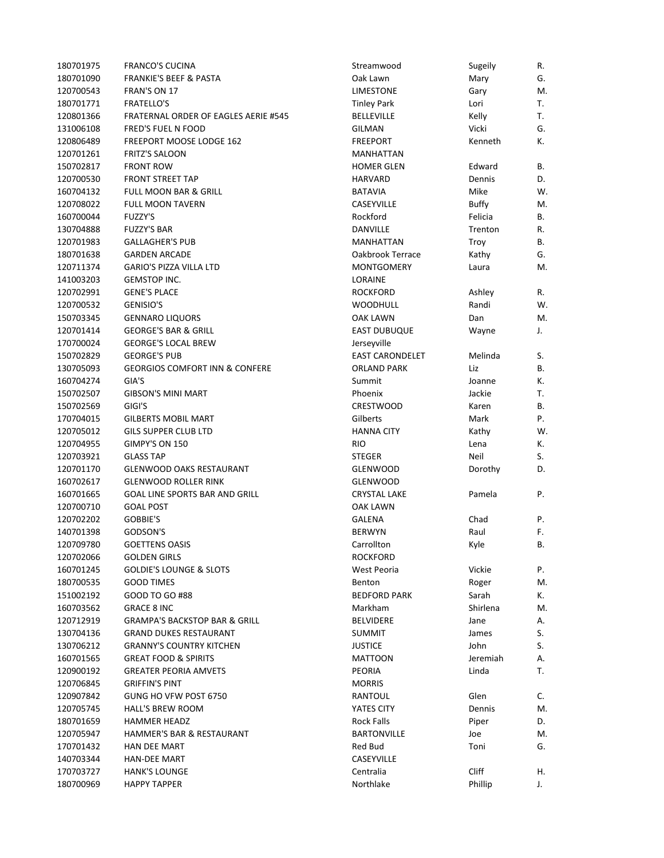| 180701975 | <b>FRANCO'S CUCINA</b>                    | Streamwood             | Sugeily      | R. |
|-----------|-------------------------------------------|------------------------|--------------|----|
| 180701090 | <b>FRANKIE'S BEEF &amp; PASTA</b>         | Oak Lawn               | Mary         | G. |
| 120700543 | FRAN'S ON 17                              | <b>LIMESTONE</b>       | Gary         | M. |
| 180701771 | <b>FRATELLO'S</b>                         | <b>Tinley Park</b>     | Lori         | Т. |
| 120801366 | FRATERNAL ORDER OF EAGLES AERIE #545      | <b>BELLEVILLE</b>      | Kelly        | T. |
| 131006108 | FRED'S FUEL N FOOD                        | <b>GILMAN</b>          | Vicki        | G. |
| 120806489 | <b>FREEPORT MOOSE LODGE 162</b>           | <b>FREEPORT</b>        | Kenneth      | К. |
| 120701261 | <b>FRITZ'S SALOON</b>                     | MANHATTAN              |              |    |
| 150702817 | <b>FRONT ROW</b>                          | <b>HOMER GLEN</b>      | Edward       | В. |
| 120700530 | <b>FRONT STREET TAP</b>                   | <b>HARVARD</b>         | Dennis       | D. |
| 160704132 | <b>FULL MOON BAR &amp; GRILL</b>          | <b>BATAVIA</b>         | Mike         | W. |
| 120708022 | <b>FULL MOON TAVERN</b>                   | CASEYVILLE             | <b>Buffy</b> | M. |
| 160700044 | <b>FUZZY'S</b>                            | Rockford               | Felicia      | В. |
| 130704888 | <b>FUZZY'S BAR</b>                        | DANVILLE               | Trenton      | R. |
| 120701983 | <b>GALLAGHER'S PUB</b>                    | MANHATTAN              | Troy         | В. |
| 180701638 | <b>GARDEN ARCADE</b>                      | Oakbrook Terrace       | Kathy        | G. |
| 120711374 | <b>GARIO'S PIZZA VILLA LTD</b>            | <b>MONTGOMERY</b>      | Laura        | M. |
| 141003203 | <b>GEMSTOP INC.</b>                       | LORAINE                |              |    |
| 120702991 | <b>GENE'S PLACE</b>                       | <b>ROCKFORD</b>        | Ashley       | R. |
| 120700532 | <b>GENISIO'S</b>                          | <b>WOODHULL</b>        | Randi        | W. |
| 150703345 | <b>GENNARO LIQUORS</b>                    |                        |              |    |
|           |                                           | OAK LAWN               | Dan          | M. |
| 120701414 | <b>GEORGE'S BAR &amp; GRILL</b>           | <b>EAST DUBUQUE</b>    | Wayne        | J. |
| 170700024 | <b>GEORGE'S LOCAL BREW</b>                | Jerseyville            |              |    |
| 150702829 | <b>GEORGE'S PUB</b>                       | <b>EAST CARONDELET</b> | Melinda      | S. |
| 130705093 | <b>GEORGIOS COMFORT INN &amp; CONFERE</b> | ORLAND PARK            | Liz          | В. |
| 160704274 | GIA'S                                     | Summit                 | Joanne       | К. |
| 150702507 | <b>GIBSON'S MINI MART</b>                 | Phoenix                | Jackie       | Т. |
| 150702569 | GIGI'S                                    | <b>CRESTWOOD</b>       | Karen        | В. |
| 170704015 | <b>GILBERTS MOBIL MART</b>                | Gilberts               | Mark         | Ρ. |
| 120705012 | <b>GILS SUPPER CLUB LTD</b>               | <b>HANNA CITY</b>      | Kathy        | W. |
| 120704955 | GIMPY'S ON 150                            | <b>RIO</b>             | Lena         | К. |
| 120703921 | <b>GLASS TAP</b>                          | <b>STEGER</b>          | Neil         | S. |
| 120701170 | <b>GLENWOOD OAKS RESTAURANT</b>           | <b>GLENWOOD</b>        | Dorothy      | D. |
| 160702617 | <b>GLENWOOD ROLLER RINK</b>               | <b>GLENWOOD</b>        |              |    |
| 160701665 | GOAL LINE SPORTS BAR AND GRILL            | <b>CRYSTAL LAKE</b>    | Pamela       | Ρ. |
| 120700710 | <b>GOAL POST</b>                          | <b>OAK LAWN</b>        |              |    |
| 120702202 | GOBBIE'S                                  | <b>GALENA</b>          | Chad         | Ρ. |
| 140701398 | GODSON'S                                  | <b>BERWYN</b>          | Raul         | F. |
| 120709780 | <b>GOETTENS OASIS</b>                     | Carrollton             | Kyle         | В. |
| 120702066 | <b>GOLDEN GIRLS</b>                       | <b>ROCKFORD</b>        |              |    |
| 160701245 | <b>GOLDIE'S LOUNGE &amp; SLOTS</b>        | West Peoria            | Vickie       | Ρ. |
| 180700535 | <b>GOOD TIMES</b>                         | Benton                 | Roger        | M. |
| 151002192 | GOOD TO GO #88                            | <b>BEDFORD PARK</b>    | Sarah        | К. |
| 160703562 | <b>GRACE 8 INC</b>                        | Markham                | Shirlena     | M. |
| 120712919 | <b>GRAMPA'S BACKSTOP BAR &amp; GRILL</b>  | <b>BELVIDERE</b>       | Jane         | Α. |
| 130704136 | <b>GRAND DUKES RESTAURANT</b>             | <b>SUMMIT</b>          | James        | S. |
| 130706212 | <b>GRANNY'S COUNTRY KITCHEN</b>           | <b>JUSTICE</b>         | John         | S. |
| 160701565 | <b>GREAT FOOD &amp; SPIRITS</b>           | <b>MATTOON</b>         | Jeremiah     | А. |
| 120900192 | <b>GREATER PEORIA AMVETS</b>              | PEORIA                 | Linda        | Т. |
| 120706845 | <b>GRIFFIN'S PINT</b>                     | <b>MORRIS</b>          |              |    |
| 120907842 | GUNG HO VFW POST 6750                     | RANTOUL                | Glen         | C. |
| 120705745 | <b>HALL'S BREW ROOM</b>                   | YATES CITY             | Dennis       | M. |
| 180701659 | <b>HAMMER HEADZ</b>                       | Rock Falls             | Piper        | D. |
| 120705947 | HAMMER'S BAR & RESTAURANT                 | <b>BARTONVILLE</b>     | Joe          | M. |
| 170701432 | <b>HAN DEE MART</b>                       | Red Bud                | Toni         | G. |
| 140703344 | HAN-DEE MART                              | CASEYVILLE             |              |    |
|           |                                           |                        |              |    |
| 170703727 | <b>HANK'S LOUNGE</b>                      | Centralia              | Cliff        | Η. |
| 180700969 | <b>HAPPY TAPPER</b>                       | Northlake              | Phillip      | J. |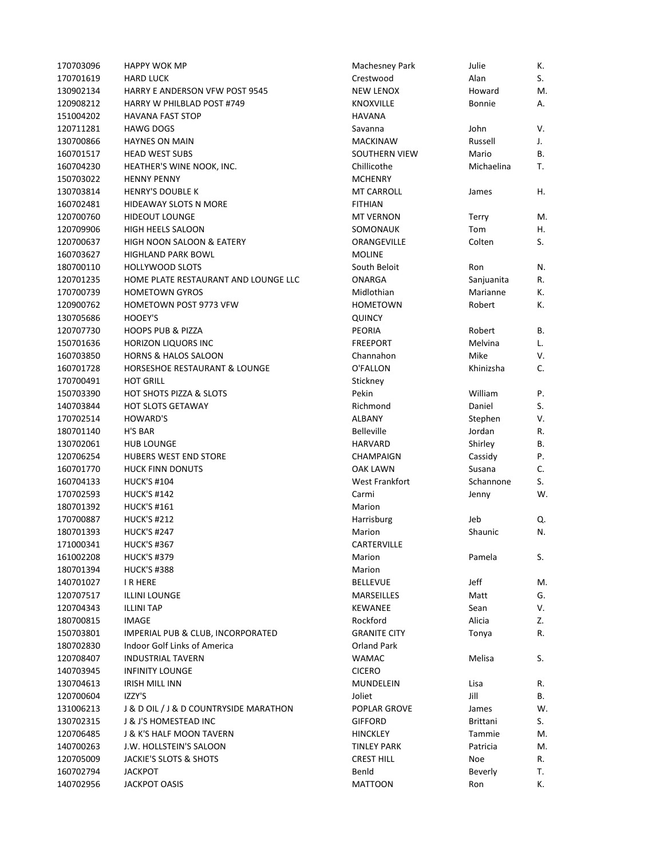| 170703096 | <b>HAPPY WOK MP</b>                    | Machesney Park        | Julie           | К.       |
|-----------|----------------------------------------|-----------------------|-----------------|----------|
| 170701619 | <b>HARD LUCK</b>                       | Crestwood             | Alan            | S.       |
| 130902134 | HARRY E ANDERSON VFW POST 9545         | <b>NEW LENOX</b>      | Howard          | М.       |
| 120908212 | HARRY W PHILBLAD POST #749             | <b>KNOXVILLE</b>      | Bonnie          | А.       |
| 151004202 | <b>HAVANA FAST STOP</b>                | <b>HAVANA</b>         |                 |          |
| 120711281 | <b>HAWG DOGS</b>                       | Savanna               | John            | V.       |
| 130700866 | <b>HAYNES ON MAIN</b>                  | <b>MACKINAW</b>       | Russell         | J.       |
| 160701517 | <b>HEAD WEST SUBS</b>                  | <b>SOUTHERN VIEW</b>  | Mario           | В.       |
| 160704230 | HEATHER'S WINE NOOK, INC.              | Chillicothe           | Michaelina      | T.       |
| 150703022 | <b>HENNY PENNY</b>                     | <b>MCHENRY</b>        |                 |          |
| 130703814 | <b>HENRY'S DOUBLE K</b>                | <b>MT CARROLL</b>     | James           | Η.       |
| 160702481 | HIDEAWAY SLOTS N MORE                  | <b>FITHIAN</b>        |                 |          |
| 120700760 | <b>HIDEOUT LOUNGE</b>                  | <b>MT VERNON</b>      | Terry           | M.       |
| 120709906 | HIGH HEELS SALOON                      | SOMONAUK              | Tom             | Η.       |
| 120700637 | HIGH NOON SALOON & EATERY              | ORANGEVILLE           | Colten          | S.       |
| 160703627 | <b>HIGHLAND PARK BOWL</b>              | <b>MOLINE</b>         |                 |          |
| 180700110 | <b>HOLLYWOOD SLOTS</b>                 | South Beloit          | Ron             | N.       |
| 120701235 | HOME PLATE RESTAURANT AND LOUNGE LLC   | <b>ONARGA</b>         | Sanjuanita      | R.       |
| 170700739 | <b>HOMETOWN GYROS</b>                  | Midlothian            | Marianne        | К.       |
| 120900762 | HOMETOWN POST 9773 VFW                 | <b>HOMETOWN</b>       | Robert          | К.       |
| 130705686 | HOOEY'S                                | <b>QUINCY</b>         |                 |          |
| 120707730 | <b>HOOPS PUB &amp; PIZZA</b>           | PEORIA                | Robert          | В.       |
| 150701636 | HORIZON LIQUORS INC                    | <b>FREEPORT</b>       | Melvina         | L.       |
| 160703850 | <b>HORNS &amp; HALOS SALOON</b>        | Channahon             | Mike            | V.       |
| 160701728 | HORSESHOE RESTAURANT & LOUNGE          | O'FALLON              | Khinizsha       | C.       |
| 170700491 | <b>HOT GRILL</b>                       |                       |                 |          |
| 150703390 | <b>HOT SHOTS PIZZA &amp; SLOTS</b>     | Stickney<br>Pekin     | William         | Ρ.       |
|           |                                        |                       | Daniel          |          |
| 140703844 | <b>HOT SLOTS GETAWAY</b>               | Richmond              |                 | S.<br>V. |
| 170702514 | HOWARD'S                               | <b>ALBANY</b>         | Stephen         |          |
| 180701140 | H'S BAR                                | Belleville            | Jordan          | R.       |
| 130702061 | <b>HUB LOUNGE</b>                      | <b>HARVARD</b>        | Shirley         | В.       |
| 120706254 | HUBERS WEST END STORE                  | CHAMPAIGN             | Cassidy         | Ρ.       |
| 160701770 | <b>HUCK FINN DONUTS</b>                | <b>OAK LAWN</b>       | Susana          | C.       |
| 160704133 | <b>HUCK'S #104</b>                     | <b>West Frankfort</b> | Schannone       | S.       |
| 170702593 | <b>HUCK'S #142</b>                     | Carmi                 | Jenny           | W.       |
| 180701392 | <b>HUCK'S #161</b>                     | Marion                |                 |          |
| 170700887 | <b>HUCK'S #212</b>                     | Harrisburg            | Jeb             | Q.       |
| 180701393 | <b>HUCK'S #247</b>                     | Marion                | Shaunic         | N.       |
| 171000341 | <b>HUCK'S #367</b>                     | CARTERVILLE           |                 |          |
| 161002208 | <b>HUCK'S #379</b>                     | Marion                | Pamela          | S.       |
| 180701394 | <b>HUCK'S #388</b>                     | Marion                |                 |          |
| 140701027 | I R HERE                               | <b>BELLEVUE</b>       | Jeff            | M.       |
| 120707517 | <b>ILLINI LOUNGE</b>                   | MARSEILLES            | Matt            | G.       |
| 120704343 | <b>ILLINI TAP</b>                      | <b>KEWANEE</b>        | Sean            | V.       |
| 180700815 | <b>IMAGE</b>                           | Rockford              | Alicia          | Z.       |
| 150703801 | IMPERIAL PUB & CLUB, INCORPORATED      | <b>GRANITE CITY</b>   | Tonya           | R.       |
| 180702830 | Indoor Golf Links of America           | Orland Park           |                 |          |
| 120708407 | <b>INDUSTRIAL TAVERN</b>               | WAMAC                 | Melisa          | S.       |
| 140703945 | <b>INFINITY LOUNGE</b>                 | <b>CICERO</b>         |                 |          |
| 130704613 | <b>IRISH MILL INN</b>                  | MUNDELEIN             | Lisa            | R.       |
| 120700604 | IZZY'S                                 | Joliet                | Jill            | В.       |
| 131006213 | J & D OIL / J & D COUNTRYSIDE MARATHON | POPLAR GROVE          | James           | W.       |
| 130702315 | J & J'S HOMESTEAD INC                  | <b>GIFFORD</b>        | <b>Brittani</b> | S.       |
| 120706485 | J & K'S HALF MOON TAVERN               | <b>HINCKLEY</b>       | Tammie          | M.       |
| 140700263 | J.W. HOLLSTEIN'S SALOON                | TINLEY PARK           | Patricia        | M.       |
| 120705009 | JACKIE'S SLOTS & SHOTS                 | <b>CREST HILL</b>     | Noe             | R.       |
| 160702794 | <b>JACKPOT</b>                         | Benld                 | Beverly         | T.       |
| 140702956 | <b>JACKPOT OASIS</b>                   | <b>MATTOON</b>        | Ron             | К.       |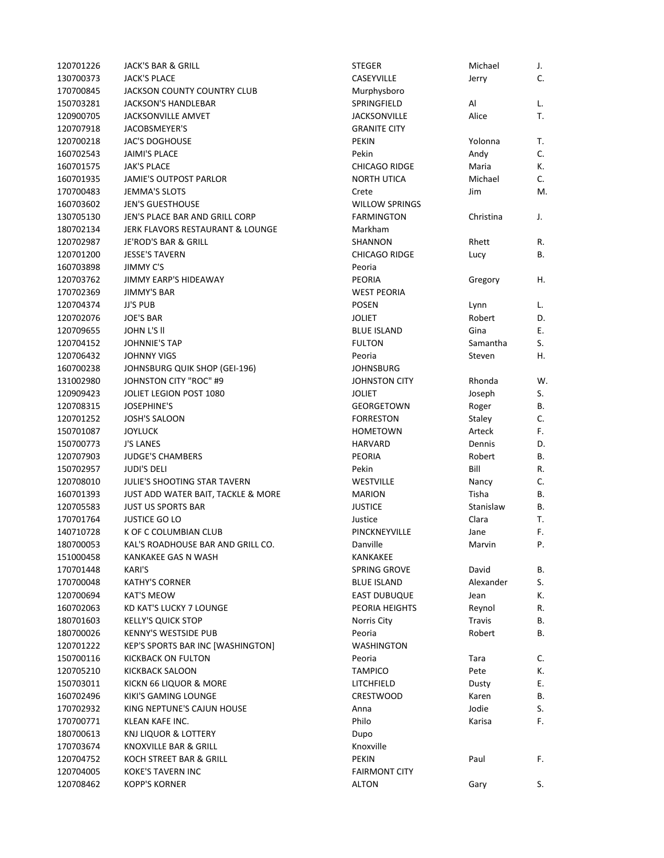| 120701226 | JACK'S BAR & GRILL                  | <b>STEGER</b>         | Michael        | J. |
|-----------|-------------------------------------|-----------------------|----------------|----|
| 130700373 | <b>JACK'S PLACE</b>                 | CASEYVILLE            | Jerry          | C. |
| 170700845 | JACKSON COUNTY COUNTRY CLUB         | Murphysboro           |                |    |
| 150703281 | JACKSON'S HANDLEBAR                 | SPRINGFIELD           | Al             | L. |
| 120900705 | <b>JACKSONVILLE AMVET</b>           | <b>JACKSONVILLE</b>   | Alice          | Т. |
| 120707918 | JACOBSMEYER'S                       | <b>GRANITE CITY</b>   |                |    |
| 120700218 | <b>JAC'S DOGHOUSE</b>               | <b>PEKIN</b>          | Yolonna        | Τ. |
| 160702543 | <b>JAIMI'S PLACE</b>                | Pekin                 | Andy           | C. |
| 160701575 | <b>JAK'S PLACE</b>                  | <b>CHICAGO RIDGE</b>  | Maria          | К. |
| 160701935 | JAMIE'S OUTPOST PARLOR              | <b>NORTH UTICA</b>    | Michael        | C. |
| 170700483 | <b>JEMMA'S SLOTS</b>                | Crete                 | Jim            | M. |
| 160703602 | <b>JEN'S GUESTHOUSE</b>             | <b>WILLOW SPRINGS</b> |                |    |
| 130705130 | JEN'S PLACE BAR AND GRILL CORP      | <b>FARMINGTON</b>     | Christina      | J. |
| 180702134 | JERK FLAVORS RESTAURANT & LOUNGE    | Markham               |                |    |
| 120702987 | JE'ROD'S BAR & GRILL                | SHANNON               | Rhett          | R. |
| 120701200 | <b>JESSE'S TAVERN</b>               | <b>CHICAGO RIDGE</b>  | Lucy           | В. |
| 160703898 | <b>JIMMY C'S</b>                    | Peoria                |                |    |
| 120703762 | <b>JIMMY EARP'S HIDEAWAY</b>        | <b>PEORIA</b>         | Gregory        | Η. |
| 170702369 | <b>JIMMY'S BAR</b>                  | <b>WEST PEORIA</b>    |                |    |
| 120704374 | <b>JJ'S PUB</b>                     | <b>POSEN</b>          |                |    |
|           |                                     | <b>JOLIET</b>         | Lynn<br>Robert | L. |
| 120702076 | <b>JOE'S BAR</b>                    |                       |                | D. |
| 120709655 | JOHN L'S II                         | <b>BLUE ISLAND</b>    | Gina           | Е. |
| 120704152 | <b>JOHNNIE'S TAP</b>                | <b>FULTON</b>         | Samantha       | S. |
| 120706432 | <b>JOHNNY VIGS</b>                  | Peoria                | Steven         | Η. |
| 160700238 | JOHNSBURG QUIK SHOP (GEI-196)       | <b>JOHNSBURG</b>      |                |    |
| 131002980 | <b>JOHNSTON CITY "ROC" #9</b>       | <b>JOHNSTON CITY</b>  | Rhonda         | W. |
| 120909423 | JOLIET LEGION POST 1080             | <b>JOLIET</b>         | Joseph         | S. |
| 120708315 | <b>JOSEPHINE'S</b>                  | GEORGETOWN            | Roger          | В. |
| 120701252 | <b>JOSH'S SALOON</b>                | <b>FORRESTON</b>      | Staley         | C. |
| 150701087 | <b>JOYLUCK</b>                      | <b>HOMETOWN</b>       | Arteck         | F. |
| 150700773 | <b>J'S LANES</b>                    | <b>HARVARD</b>        | Dennis         | D. |
| 120707903 | <b>JUDGE'S CHAMBERS</b>             | <b>PEORIA</b>         | Robert         | В. |
| 150702957 | <b>JUDI'S DELI</b>                  | Pekin                 | Bill           | R. |
| 120708010 | <b>JULIE'S SHOOTING STAR TAVERN</b> | <b>WESTVILLE</b>      | Nancy          | C. |
| 160701393 | JUST ADD WATER BAIT, TACKLE & MORE  | <b>MARION</b>         | Tisha          | В. |
| 120705583 | <b>JUST US SPORTS BAR</b>           | <b>JUSTICE</b>        | Stanislaw      | В. |
| 170701764 | <b>JUSTICE GO LO</b>                | Justice               | Clara          | Т. |
| 140710728 | K OF C COLUMBIAN CLUB               | PINCKNEYVILLE         | Jane           | F. |
| 180700053 | KAL'S ROADHOUSE BAR AND GRILL CO.   | Danville              | Marvin         | Ρ. |
| 151000458 | KANKAKEE GAS N WASH                 | KANKAKEE              |                |    |
| 170701448 | <b>KARI'S</b>                       | SPRING GROVE          | David          | В. |
| 170700048 | <b>KATHY'S CORNER</b>               | <b>BLUE ISLAND</b>    | Alexander      | S. |
| 120700694 | <b>KAT'S MEOW</b>                   | <b>EAST DUBUQUE</b>   | Jean           | К. |
| 160702063 | KD KAT'S LUCKY 7 LOUNGE             | PEORIA HEIGHTS        | Reynol         | R. |
| 180701603 | <b>KELLY'S QUICK STOP</b>           | Norris City           | Travis         | В. |
| 180700026 | KENNY'S WESTSIDE PUB                | Peoria                | Robert         | В. |
| 120701222 | KEP'S SPORTS BAR INC [WASHINGTON]   | <b>WASHINGTON</b>     |                |    |
| 150700116 | KICKBACK ON FULTON                  | Peoria                | Tara           | C. |
| 120705210 | <b>KICKBACK SALOON</b>              | TAMPICO               | Pete           | К. |
| 150703011 | KICKN 66 LIQUOR & MORE              | LITCHFIELD            | Dusty          | Ε. |
| 160702496 | KIKI'S GAMING LOUNGE                | CRESTWOOD             | Karen          | В. |
| 170702932 | KING NEPTUNE'S CAJUN HOUSE          | Anna                  | Jodie          | S. |
| 170700771 | KLEAN KAFE INC.                     | Philo                 | Karisa         | F. |
|           | KNJ LIQUOR & LOTTERY                |                       |                |    |
| 180700613 |                                     | Dupo                  |                |    |
| 170703674 | KNOXVILLE BAR & GRILL               | Knoxville             |                |    |
| 120704752 | KOCH STREET BAR & GRILL             | PEKIN                 | Paul           | F. |
| 120704005 | KOKE'S TAVERN INC                   | <b>FAIRMONT CITY</b>  |                |    |
| 120708462 | <b>KOPP'S KORNER</b>                | <b>ALTON</b>          | Gary           | S. |

| EGER                              | Michael       | J.       |
|-----------------------------------|---------------|----------|
| SEYVILLE                          | Jerry         | С.       |
| urphysboro                        |               |          |
| RINGFIELD                         | Al            | L.       |
| CKSONVILLE                        | Alice         | Т.       |
| <b>ANITE CITY</b>                 |               |          |
| KIN                               | Yolonna       | T.       |
| kin                               | Andy          | C.       |
| <b>ICAGO RIDGE</b>                | Maria         | К.       |
| <b>RTH UTICA</b>                  | Michael       | C.       |
| ete                               | Jim           | M.       |
| <b>LLOW SPRINGS</b>               |               |          |
| RMINGTON                          | Christina     | J.       |
| arkham                            |               |          |
| <b>ANNON</b>                      | Rhett         | R.       |
| <b>ICAGO RIDGE</b>                | Lucy          | В.       |
| oria                              |               |          |
| ORIA                              | Gregory       | Н.       |
| <b>EST PEORIA</b>                 |               |          |
| <b>SEN</b>                        | Lynn          | L.       |
| LIET                              | Robert        | D.       |
| UE ISLAND                         | Gina          | Ε.       |
| <b>LTON</b>                       | Samantha      | S.       |
| oria                              | Steven        | Н.       |
| HNSBURG                           |               |          |
| <b>HNSTON CITY</b>                | Rhonda        | W.       |
| LIET                              | Joseph        | S.       |
| ORGETOWN                          | Roger         | B.       |
| RRESTON                           | Staley        | C.       |
| )METOWN                           | Arteck        | F.       |
| RVARD                             | Dennis        | D.       |
| ORIA                              | Robert        | В.       |
| kin                               | Bill          | R.       |
| <b>ESTVILLE</b>                   | Nancy         | C.       |
| ARION                             | Tisha         | В.       |
| <b>STICE</b>                      | Stanislaw     | В.       |
| stice                             | Clara         | Т.       |
| <b><i>NCKNEYVILLE</i></b>         | Jane          | F.       |
| nville                            | Marvin        | Ρ.       |
| NKAKEE                            |               |          |
| RING GROVE                        | David         |          |
|                                   | Alexander     | В.       |
| UE ISLAND                         |               | S.<br>К. |
| ST DUBUQUE<br><b>ORIA HEIGHTS</b> | Jean          |          |
|                                   | Reynol        | R.       |
| rris City                         | <b>Travis</b> | В.       |
| oria                              | Robert        | В.       |
| <b>ASHINGTON</b>                  |               |          |
| oria                              | Tara          | С.       |
| <b>MPICO</b>                      | Pete          | K.       |
| <b>CHFIELD</b>                    | Dusty         | Ε.       |
| <b>ESTWOOD</b>                    | Karen         | В.       |
| na                                | Jodie         | S.       |
| ilo                               | Karisa        | F.       |
| po                                |               |          |
| oxville                           |               |          |
| ΚIΝ                               | Paul          | F.       |
| <b>IRMONT CITY</b>                |               |          |
| TON                               | Gary          | S.       |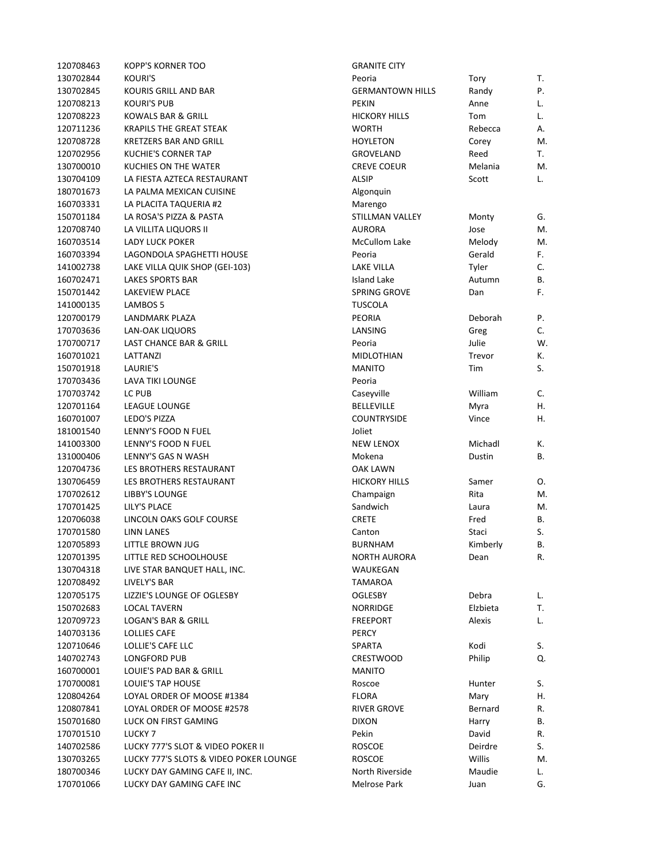| 120708463              | <b>KOPP'S KORNER TOO</b>               | <b>GRANITE CITY</b>     |          |    |
|------------------------|----------------------------------------|-------------------------|----------|----|
| 130702844              | <b>KOURI'S</b>                         | Peoria                  | Tory     | т. |
| 130702845              | KOURIS GRILL AND BAR                   | <b>GERMANTOWN HILLS</b> | Randy    | Ρ. |
| 120708213              | <b>KOURI'S PUB</b>                     | <b>PEKIN</b>            | Anne     | L. |
| 120708223              | KOWALS BAR & GRILL                     | <b>HICKORY HILLS</b>    | Tom      | L. |
| 120711236              | <b>KRAPILS THE GREAT STEAK</b>         | <b>WORTH</b>            | Rebecca  | А. |
| 120708728              | KRETZERS BAR AND GRILL                 | <b>HOYLETON</b>         | Corey    | M. |
| 120702956              | <b>KUCHIE'S CORNER TAP</b>             | GROVELAND               | Reed     | Т. |
| 130700010              | KUCHIES ON THE WATER                   | <b>CREVE COEUR</b>      | Melania  | M. |
| 130704109              | LA FIESTA AZTECA RESTAURANT            | <b>ALSIP</b>            | Scott    | L. |
| 180701673              | LA PALMA MEXICAN CUISINE               | Algonquin               |          |    |
| 160703331              | LA PLACITA TAQUERIA #2                 | Marengo                 |          |    |
| 150701184              | LA ROSA'S PIZZA & PASTA                | STILLMAN VALLEY         | Monty    | G. |
| 120708740              | LA VILLITA LIQUORS II                  | <b>AURORA</b>           | Jose     | M. |
| 160703514              | <b>LADY LUCK POKER</b>                 | <b>McCullom Lake</b>    | Melody   | M. |
| 160703394              | LAGONDOLA SPAGHETTI HOUSE              | Peoria                  | Gerald   | F. |
| 141002738              | LAKE VILLA QUIK SHOP (GEI-103)         | <b>LAKE VILLA</b>       | Tyler    | C. |
| 160702471              | <b>LAKES SPORTS BAR</b>                | <b>Island Lake</b>      | Autumn   | В. |
| 150701442              | LAKEVIEW PLACE                         | SPRING GROVE            | Dan      | F. |
| 141000135              | LAMBOS 5                               | <b>TUSCOLA</b>          |          |    |
| 120700179              | LANDMARK PLAZA                         | <b>PEORIA</b>           | Deborah  | Ρ. |
| 170703636              | <b>LAN-OAK LIQUORS</b>                 | LANSING                 | Greg     | C. |
| 170700717              | LAST CHANCE BAR & GRILL                | Peoria                  | Julie    | W. |
|                        |                                        | <b>MIDLOTHIAN</b>       | Trevor   |    |
| 160701021<br>150701918 | LATTANZI                               | <b>MANITO</b>           |          | К. |
|                        | LAURIE'S                               |                         | Tim      | S. |
| 170703436              | LAVA TIKI LOUNGE                       | Peoria                  |          |    |
| 170703742              | LC PUB                                 | Caseyville              | William  | C. |
| 120701164              | LEAGUE LOUNGE                          | <b>BELLEVILLE</b>       | Myra     | Η. |
| 160701007              | LEDO'S PIZZA                           | <b>COUNTRYSIDE</b>      | Vince    | Η. |
| 181001540              | LENNY'S FOOD N FUEL                    | Joliet                  |          |    |
| 141003300              | LENNY'S FOOD N FUEL                    | <b>NEW LENOX</b>        | Michadl  | К. |
| 131000406              | LENNY'S GAS N WASH                     | Mokena                  | Dustin   | В. |
| 120704736              | LES BROTHERS RESTAURANT                | <b>OAK LAWN</b>         |          |    |
| 130706459              | LES BROTHERS RESTAURANT                | <b>HICKORY HILLS</b>    | Samer    | Ο. |
| 170702612              | LIBBY'S LOUNGE                         | Champaign               | Rita     | M. |
| 170701425              | LILY'S PLACE                           | Sandwich                | Laura    | M. |
| 120706038              | LINCOLN OAKS GOLF COURSE               | <b>CRETE</b>            | Fred     | В. |
| 170701580              | <b>LINN LANES</b>                      | Canton                  | Staci    | S. |
| 120705893              | LITTLE BROWN JUG                       | <b>BURNHAM</b>          | Kimberly | В. |
| 120701395              | LITTLE RED SCHOOLHOUSE                 | <b>NORTH AURORA</b>     | Dean     | R. |
| 130704318              | LIVE STAR BANQUET HALL, INC.           | WAUKEGAN                |          |    |
| 120708492              | LIVELY'S BAR                           | <b>TAMAROA</b>          |          |    |
| 120705175              | LIZZIE'S LOUNGE OF OGLESBY             | <b>OGLESBY</b>          | Debra    | L. |
| 150702683              | <b>LOCAL TAVERN</b>                    | NORRIDGE                | Elzbieta | Т. |
| 120709723              | LOGAN'S BAR & GRILL                    | <b>FREEPORT</b>         | Alexis   | L. |
| 140703136              | <b>LOLLIES CAFE</b>                    | PERCY                   |          |    |
| 120710646              | LOLLIE'S CAFE LLC                      | SPARTA                  | Kodi     | S. |
| 140702743              | LONGFORD PUB                           | <b>CRESTWOOD</b>        | Philip   | Q. |
| 160700001              | LOUIE'S PAD BAR & GRILL                | <b>MANITO</b>           |          |    |
| 170700081              | LOUIE'S TAP HOUSE                      | Roscoe                  | Hunter   | S. |
| 120804264              | LOYAL ORDER OF MOOSE #1384             | <b>FLORA</b>            | Mary     | Η. |
| 120807841              | LOYAL ORDER OF MOOSE #2578             | <b>RIVER GROVE</b>      | Bernard  | R. |
| 150701680              | LUCK ON FIRST GAMING                   | <b>DIXON</b>            | Harry    | В. |
| 170701510              | LUCKY <sub>7</sub>                     | Pekin                   | David    | R. |
| 140702586              | LUCKY 777'S SLOT & VIDEO POKER II      | ROSCOE                  | Deirdre  | S. |
| 130703265              | LUCKY 777'S SLOTS & VIDEO POKER LOUNGE | <b>ROSCOE</b>           | Willis   | M. |
| 180700346              | LUCKY DAY GAMING CAFE II, INC.         | North Riverside         | Maudie   | L. |
| 170701066              | LUCKY DAY GAMING CAFE INC              | Melrose Park            | Juan     | G. |
|                        |                                        |                         |          |    |

| <b>GRANITE CITY</b>     |               |    |
|-------------------------|---------------|----|
| Peoria                  | Tory          | Т. |
| <b>GERMANTOWN HILLS</b> | Randy         | P. |
| <b>PEKIN</b>            | Anne          | L. |
| <b>HICKORY HILLS</b>    | Tom           | L. |
| <b>WORTH</b>            | Rebecca       | А. |
| <b>HOYLETON</b>         | Corey         | M. |
| <b>GROVELAND</b>        | Reed          | Т. |
| <b>CREVE COEUR</b>      | Melania       | M. |
| <b>ALSIP</b>            | Scott         | L. |
| Algonquin               |               |    |
|                         |               |    |
| Marengo                 |               |    |
| STILLMAN VALLEY         | Monty         | G. |
| <b>AURORA</b>           | Jose          | M. |
| <b>McCullom Lake</b>    | Melody        | M. |
| Peoria                  | Gerald        | F. |
| <b>LAKE VILLA</b>       | Tyler         | C. |
| <b>Island Lake</b>      | Autumn        | В. |
| <b>SPRING GROVE</b>     | Dan           | F. |
| <b>TUSCOLA</b>          |               |    |
| <b>PEORIA</b>           | Deborah       | Ρ. |
| LANSING                 | Greg          | С. |
| Peoria                  | Julie         | W. |
| <b>MIDLOTHIAN</b>       | Trevor        | К. |
| <b>MANITO</b>           | Tim           | S. |
| Peoria                  |               |    |
| Caseyville              | William       | С. |
| <b>BELLEVILLE</b>       | Myra          | Η. |
| <b>COUNTRYSIDE</b>      | Vince         | Η. |
| Joliet                  |               |    |
| <b>NEW LENOX</b>        | Michadl       | К. |
| Mokena                  | Dustin        | В. |
| <b>OAK LAWN</b>         |               |    |
| <b>HICKORY HILLS</b>    | Samer         | Ο. |
|                         |               | M. |
| Champaign               | Rita          |    |
| Sandwich                | Laura         | M. |
| <b>CRETE</b>            | Fred          | В. |
| Canton                  | Staci         | S. |
| <b>BURNHAM</b>          | Kimberly      | В. |
| <b>NORTH AURORA</b>     | Dean          | R. |
| WAUKEGAN                |               |    |
| TAMAROA                 |               |    |
| <b>OGLESBY</b>          | Debra         | L. |
| <b>NORRIDGE</b>         | Elzbieta      | T. |
| <b>FREEPORT</b>         | <b>Alexis</b> | L. |
| <b>PERCY</b>            |               |    |
| <b>SPARTA</b>           | Kodi          | S. |
| <b>CRESTWOOD</b>        | Philip        | Q. |
| <b>MANITO</b>           |               |    |
| Roscoe                  | Hunter        | S. |
| <b>FLORA</b>            | Mary          | Η. |
| <b>RIVER GROVE</b>      | Bernard       | R. |
| <b>DIXON</b>            | Harry         | В. |
| Pekin                   | David         | R. |
| <b>ROSCOE</b>           | Deirdre       | S. |
|                         | Willis        | M. |
| <b>ROSCOE</b>           |               |    |
| North Riverside         | Maudie        | L. |
| <b>Melrose Park</b>     | Juan          | G. |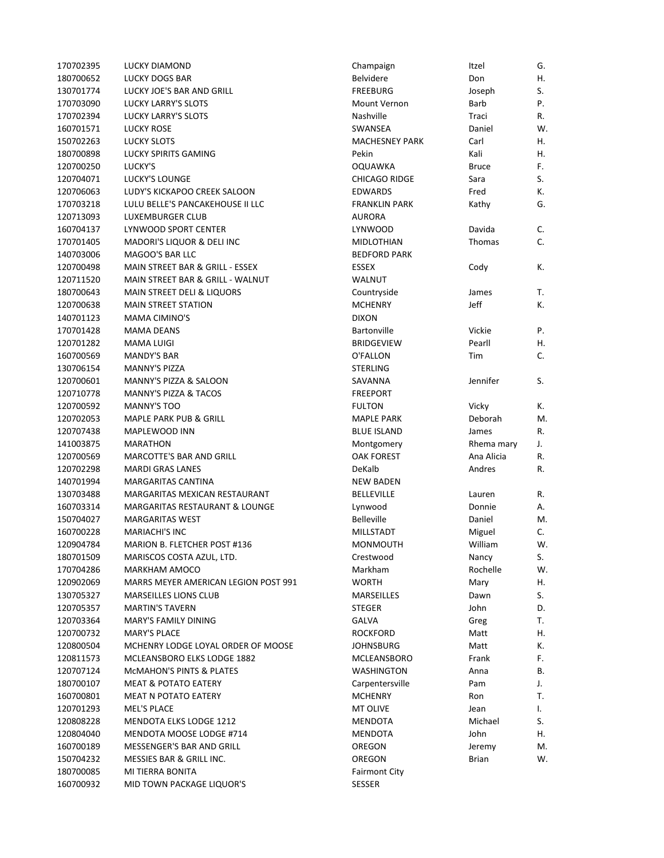| 170702395 | <b>LUCKY DIAMOND</b>                 | Champaign             | Itzel        | G. |
|-----------|--------------------------------------|-----------------------|--------------|----|
| 180700652 | LUCKY DOGS BAR                       | <b>Belvidere</b>      | Don          | Η. |
| 130701774 | LUCKY JOE'S BAR AND GRILL            | <b>FREEBURG</b>       | Joseph       | S. |
| 170703090 | <b>LUCKY LARRY'S SLOTS</b>           | Mount Vernon          | Barb         | Ρ. |
| 170702394 | <b>LUCKY LARRY'S SLOTS</b>           | Nashville             | Traci        | R. |
| 160701571 | LUCKY ROSE                           | SWANSEA               | Daniel       | W. |
| 150702263 | <b>LUCKY SLOTS</b>                   | <b>MACHESNEY PARK</b> | Carl         | Η. |
| 180700898 | <b>LUCKY SPIRITS GAMING</b>          | Pekin                 | Kali         | Η. |
| 120700250 | LUCKY'S                              | <b>OQUAWKA</b>        | <b>Bruce</b> | F. |
| 120704071 | <b>LUCKY'S LOUNGE</b>                | <b>CHICAGO RIDGE</b>  | Sara         | S. |
| 120706063 | LUDY'S KICKAPOO CREEK SALOON         | <b>EDWARDS</b>        | Fred         | К. |
| 170703218 | LULU BELLE'S PANCAKEHOUSE II LLC     | <b>FRANKLIN PARK</b>  | Kathy        | G. |
| 120713093 | LUXEMBURGER CLUB                     | <b>AURORA</b>         |              |    |
| 160704137 | LYNWOOD SPORT CENTER                 | <b>LYNWOOD</b>        | Davida       | C. |
| 170701405 | MADORI'S LIQUOR & DELI INC           | <b>MIDLOTHIAN</b>     | Thomas       | C. |
| 140703006 | MAGOO'S BAR LLC                      | <b>BEDFORD PARK</b>   |              |    |
| 120700498 | MAIN STREET BAR & GRILL - ESSEX      | <b>ESSEX</b>          | Cody         | К. |
| 120711520 | MAIN STREET BAR & GRILL - WALNUT     | <b>WALNUT</b>         |              |    |
| 180700643 | MAIN STREET DELI & LIQUORS           | Countryside           | James        | Т. |
| 120700638 | <b>MAIN STREET STATION</b>           | <b>MCHENRY</b>        | Jeff         | К. |
| 140701123 | <b>MAMA CIMINO'S</b>                 | <b>DIXON</b>          |              |    |
| 170701428 | <b>MAMA DEANS</b>                    | <b>Bartonville</b>    | Vickie       | Ρ. |
| 120701282 | MAMA LUIGI                           | <b>BRIDGEVIEW</b>     | Pearll       | Η. |
| 160700569 | <b>MANDY'S BAR</b>                   | O'FALLON              | Tim          | C. |
| 130706154 | <b>MANNY'S PIZZA</b>                 | <b>STERLING</b>       |              |    |
| 120700601 | MANNY'S PIZZA & SALOON               | SAVANNA               | Jennifer     | S. |
| 120710778 | <b>MANNY'S PIZZA &amp; TACOS</b>     | <b>FREEPORT</b>       |              |    |
| 120700592 | MANNY'S TOO                          | <b>FULTON</b>         | Vicky        | К. |
| 120702053 | <b>MAPLE PARK PUB &amp; GRILL</b>    | <b>MAPLE PARK</b>     | Deborah      | M. |
| 120707438 | MAPLEWOOD INN                        | <b>BLUE ISLAND</b>    | James        | R. |
| 141003875 | <b>MARATHON</b>                      | Montgomery            | Rhema mary   | J. |
| 120700569 | <b>MARCOTTE'S BAR AND GRILL</b>      | <b>OAK FOREST</b>     | Ana Alicia   | R. |
| 120702298 | <b>MARDI GRAS LANES</b>              | DeKalb                | Andres       | R. |
| 140701994 | MARGARITAS CANTINA                   | <b>NEW BADEN</b>      |              |    |
| 130703488 | MARGARITAS MEXICAN RESTAURANT        | <b>BELLEVILLE</b>     | Lauren       | R. |
| 160703314 | MARGARITAS RESTAURANT & LOUNGE       | Lynwood               | Donnie       | Α. |
| 150704027 | <b>MARGARITAS WEST</b>               | <b>Belleville</b>     | Daniel       | M. |
| 160700228 | <b>MARIACHI'S INC</b>                | <b>MILLSTADT</b>      | Miguel       | C. |
| 120904784 | MARION B. FLETCHER POST #136         | <b>MONMOUTH</b>       | William      | w. |
| 180701509 | MARISCOS COSTA AZUL, LTD.            | Crestwood             | Nancy        | S. |
| 170704286 | MARKHAM AMOCO                        | Markham               | Rochelle     | W. |
| 120902069 | MARRS MEYER AMERICAN LEGION POST 991 | <b>WORTH</b>          | Mary         | Η. |
| 130705327 | MARSEILLES LIONS CLUB                | <b>MARSEILLES</b>     | Dawn         | S. |
| 120705357 | <b>MARTIN'S TAVERN</b>               | <b>STEGER</b>         | John         | D. |
| 120703364 | <b>MARY'S FAMILY DINING</b>          | GALVA                 | Greg         | Т. |
| 120700732 | <b>MARY'S PLACE</b>                  | <b>ROCKFORD</b>       | Matt         | Η. |
| 120800504 | MCHENRY LODGE LOYAL ORDER OF MOOSE   | <b>JOHNSBURG</b>      | Matt         | К. |
| 120811573 | MCLEANSBORO ELKS LODGE 1882          | MCLEANSBORO           | Frank        | F. |
| 120707124 | <b>MCMAHON'S PINTS &amp; PLATES</b>  | WASHINGTON            | Anna         | В. |
| 180700107 | <b>MEAT &amp; POTATO EATERY</b>      | Carpentersville       | Pam          | J. |
| 160700801 | MEAT N POTATO EATERY                 | <b>MCHENRY</b>        | Ron          | Т. |
| 120701293 | MEL'S PLACE                          | MT OLIVE              | Jean         | I. |
| 120808228 | MENDOTA ELKS LODGE 1212              | MENDOTA               | Michael      | S. |
| 120804040 | MENDOTA MOOSE LODGE #714             | <b>MENDOTA</b>        | John         | Η. |
| 160700189 | MESSENGER'S BAR AND GRILL            | OREGON                | Jeremy       | M. |
| 150704232 | MESSIES BAR & GRILL INC.             | OREGON                | <b>Brian</b> | W. |
| 180700085 | MI TIERRA BONITA                     | <b>Fairmont City</b>  |              |    |
| 160700932 | MID TOWN PACKAGE LIQUOR'S            | <b>SESSER</b>         |              |    |
|           |                                      |                       |              |    |

| Champaign             | Itzel         | G. |
|-----------------------|---------------|----|
| <b>Belvidere</b>      | Don           | Η. |
| <b>FREEBURG</b>       | Joseph        | S. |
| Mount Vernon          | Barb          | P. |
| Nashville             | Traci         | R. |
| <b>SWANSEA</b>        | Daniel        | W. |
| <b>MACHESNEY PARK</b> | Carl          | Η. |
| Pekin                 | Kali          | Η. |
| <b>OQUAWKA</b>        | <b>Bruce</b>  | F. |
| <b>CHICAGO RIDGE</b>  | Sara          | S. |
| <b>EDWARDS</b>        | Fred          | K. |
| <b>FRANKLIN PARK</b>  | Kathy         | G. |
| <b>AURORA</b>         |               |    |
| <b>LYNWOOD</b>        | Davida        | C. |
| <b>MIDLOTHIAN</b>     | <b>Thomas</b> | Ċ. |
| <b>BEDFORD PARK</b>   |               |    |
| ESSEX                 | Cody          | К. |
| <b>WALNUT</b>         |               |    |
| Countryside           | James         | т. |
| <b>MCHENRY</b>        | Jeff          | K. |
| <b>DIXON</b>          |               |    |
| Bartonville           | Vickie        | Ρ. |
| <b>BRIDGEVIEW</b>     | Pearll        | Η. |
| O'FALLON              | Tim           | C. |
| STERLING              |               |    |
| SAVANNA               | Jennifer      | S. |
| <b>FREEPORT</b>       |               |    |
| <b>FULTON</b>         | Vicky         | Κ. |
| <b>MAPLE PARK</b>     | Deborah       | М. |
| <b>BLUE ISLAND</b>    | James         | R. |
| Montgomery            | Rhema mary    | J. |
| <b>OAK FOREST</b>     | Ana Alicia    | R. |
| DeKalb                | Andres        | R. |
| <b>NEW BADEN</b>      |               |    |
| <b>BELLEVILLE</b>     | Lauren        | R. |
| Lynwood               | Donnie        | А. |
| <b>Belleville</b>     | Daniel        | М. |
| <b>MILLSTADT</b>      | Miguel        | C. |
| MONMOUTH              | William       | W. |
| Crestwood             | Nancy         | S. |
| Markham               | Rochelle      | W. |
| <b>WORTH</b>          | Mary          | Η. |
| MARSEILLES            | Dawn          | S. |
| <b>STEGER</b>         | John          | D. |
| <b>GALVA</b>          | Greg          | т. |
| <b>ROCKFORD</b>       | Matt          | Η. |
| JOHNSBURG             | Matt          | K. |
| MCLEANSBORO           | Frank         | F. |
| <b>WASHINGTON</b>     | Anna          | В. |
| Carpentersville       | Pam           | J. |
| <b>MCHENRY</b>        | Ron           | Τ. |
| <b>MT OLIVE</b>       | Jean          | I. |
| <b>MENDOTA</b>        | Michael       | S. |
| <b>MENDOTA</b>        | John          | н. |
| OREGON                | Jeremy        | М. |
| OREGON                | <b>Brian</b>  | W. |
| <b>Fairmont City</b>  |               |    |
| <b>SESSER</b>         |               |    |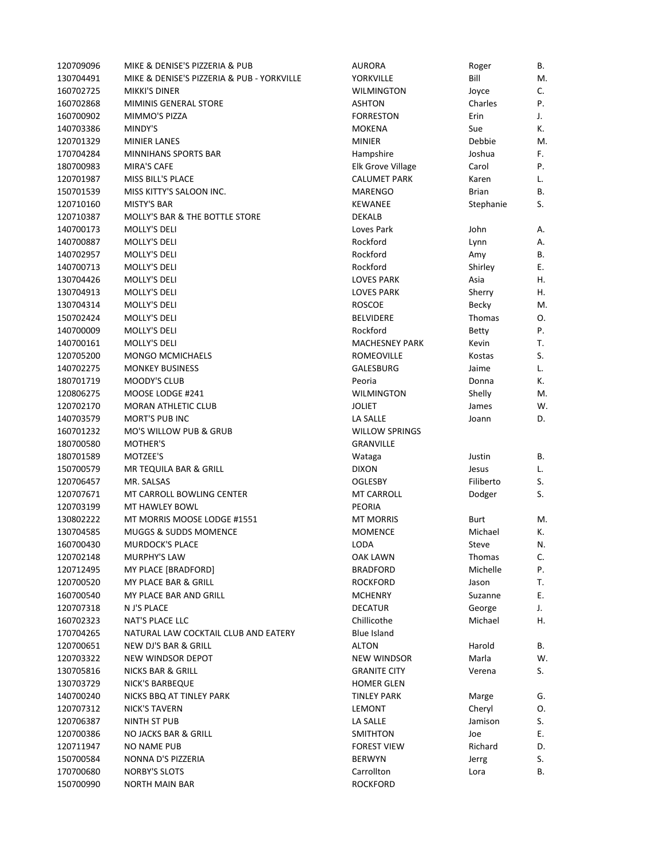| 120709096 | MIKE & DENISE'S PIZZERIA & PUB             | <b>AURORA</b>         | Roger        | В. |
|-----------|--------------------------------------------|-----------------------|--------------|----|
| 130704491 | MIKE & DENISE'S PIZZERIA & PUB - YORKVILLE | YORKVILLE             | Bill         | M. |
| 160702725 | <b>MIKKI'S DINER</b>                       | <b>WILMINGTON</b>     | Joyce        | C. |
| 160702868 | <b>MIMINIS GENERAL STORE</b>               | <b>ASHTON</b>         | Charles      | Ρ. |
| 160700902 | MIMMO'S PIZZA                              | <b>FORRESTON</b>      | Erin         | J. |
| 140703386 | MINDY'S                                    | MOKENA                | Sue          | К. |
| 120701329 | <b>MINIER LANES</b>                        | <b>MINIER</b>         | Debbie       | M. |
| 170704284 | MINNIHANS SPORTS BAR                       | Hampshire             | Joshua       | F. |
| 180700983 | <b>MIRA'S CAFE</b>                         | Elk Grove Village     | Carol        | Ρ. |
| 120701987 | MISS BILL'S PLACE                          | <b>CALUMET PARK</b>   | Karen        | L. |
| 150701539 | MISS KITTY'S SALOON INC.                   | <b>MARENGO</b>        | Brian        | В. |
| 120710160 | <b>MISTY'S BAR</b>                         | <b>KEWANEE</b>        | Stephanie    | S. |
| 120710387 | <b>MOLLY'S BAR &amp; THE BOTTLE STORE</b>  | DEKALB                |              |    |
| 140700173 | MOLLY'S DELI                               | Loves Park            | John         | Α. |
| 140700887 | MOLLY'S DELI                               | Rockford              | Lynn         | Α. |
| 140702957 | MOLLY'S DELI                               | Rockford              | Amy          | В. |
| 140700713 | MOLLY'S DELI                               | Rockford              | Shirley      | Е. |
| 130704426 | MOLLY'S DELI                               | <b>LOVES PARK</b>     | Asia         | Η. |
| 130704913 | <b>MOLLY'S DELI</b>                        | <b>LOVES PARK</b>     | Sherry       | Η. |
| 130704314 | MOLLY'S DELI                               | <b>ROSCOE</b>         | Becky        | M. |
| 150702424 | MOLLY'S DELI                               | <b>BELVIDERE</b>      | Thomas       | Ο. |
| 140700009 | MOLLY'S DELI                               | Rockford              | <b>Betty</b> | Ρ. |
| 140700161 | MOLLY'S DELI                               | <b>MACHESNEY PARK</b> | Kevin        | T. |
| 120705200 | <b>MONGO MCMICHAELS</b>                    | ROMEOVILLE            | Kostas       | S. |
| 140702275 | <b>MONKEY BUSINESS</b>                     | <b>GALESBURG</b>      | Jaime        | L. |
| 180701719 | <b>MOODY'S CLUB</b>                        | Peoria                | Donna        | К. |
| 120806275 | MOOSE LODGE #241                           | <b>WILMINGTON</b>     |              | M. |
|           |                                            |                       | Shelly       |    |
| 120702170 | <b>MORAN ATHLETIC CLUB</b>                 | <b>JOLIET</b>         | James        | W. |
| 140703579 | <b>MORT'S PUB INC</b>                      | LA SALLE              | Joann        | D. |
| 160701232 | <b>MO'S WILLOW PUB &amp; GRUB</b>          | <b>WILLOW SPRINGS</b> |              |    |
| 180700580 | <b>MOTHER'S</b>                            | <b>GRANVILLE</b>      |              |    |
| 180701589 | MOTZEE'S                                   | Wataga                | Justin       | В. |
| 150700579 | MR TEQUILA BAR & GRILL                     | <b>DIXON</b>          | Jesus        | L. |
| 120706457 | MR. SALSAS                                 | <b>OGLESBY</b>        | Filiberto    | S. |
| 120707671 | MT CARROLL BOWLING CENTER                  | <b>MT CARROLL</b>     | Dodger       | S. |
| 120703199 | MT HAWLEY BOWL                             | <b>PEORIA</b>         |              |    |
| 130802222 | MT MORRIS MOOSE LODGE #1551                | <b>MT MORRIS</b>      | Burt         | M. |
| 130704585 | MUGGS & SUDDS MOMENCE                      | <b>MOMENCE</b>        | Michael      | К. |
| 160700430 | MURDOCK'S PLACE                            | LODA                  | Steve        | N. |
| 120702148 | MURPHY'S LAW                               | OAK LAWN              | Thomas       | C. |
| 120712495 | MY PLACE [BRADFORD]                        | <b>BRADFORD</b>       | Michelle     | Ρ. |
| 120700520 | MY PLACE BAR & GRILL                       | <b>ROCKFORD</b>       | Jason        | т. |
| 160700540 | MY PLACE BAR AND GRILL                     | <b>MCHENRY</b>        | Suzanne      | Е. |
| 120707318 | N J'S PLACE                                | <b>DECATUR</b>        | George       | J. |
| 160702323 | NAT'S PLACE LLC                            | Chillicothe           | Michael      | Η. |
| 170704265 | NATURAL LAW COCKTAIL CLUB AND EATERY       | <b>Blue Island</b>    |              |    |
| 120700651 | NEW DJ'S BAR & GRILL                       | <b>ALTON</b>          | Harold       | В. |
| 120703322 | NEW WINDSOR DEPOT                          | NEW WINDSOR           | Marla        | W. |
| 130705816 | NICKS BAR & GRILL                          | <b>GRANITE CITY</b>   | Verena       | S. |
| 130703729 | NICK'S BARBEQUE                            | <b>HOMER GLEN</b>     |              |    |
| 140700240 | NICKS BBQ AT TINLEY PARK                   | <b>TINLEY PARK</b>    | Marge        | G. |
| 120707312 | NICK'S TAVERN                              | LEMONT                | Cheryl       | Ο. |
| 120706387 | NINTH ST PUB                               | LA SALLE              | Jamison      | S. |
| 120700386 | NO JACKS BAR & GRILL                       | SMITHTON              | Joe          | Ε. |
| 120711947 | <b>NO NAME PUB</b>                         | <b>FOREST VIEW</b>    | Richard      | D. |
| 150700584 | NONNA D'S PIZZERIA                         | <b>BERWYN</b>         | Jerrg        | S. |
| 170700680 | <b>NORBY'S SLOTS</b>                       | Carrollton            | Lora         | В. |
| 150700990 | <b>NORTH MAIN BAR</b>                      | <b>ROCKFORD</b>       |              |    |
|           |                                            |                       |              |    |

| URORA                             | Roger         | В. |
|-----------------------------------|---------------|----|
| ORKVILLE                          | Bill          | М. |
| <b>/ILMINGTON</b>                 | Joyce         | C. |
| SHTON                             | Charles       | P. |
| ORRESTON                          | Erin          | J. |
| 1OKENA                            | Sue           | К. |
| <b>IINIER</b>                     | Debbie        | М. |
| ampshire                          | Joshua        | F. |
| lk Grove Village                  | Carol         | P. |
| ALUMET PARK                       | Karen         | L. |
| 1ARENGO                           | <b>Brian</b>  | В. |
| <b>EWANEE</b>                     | Stephanie     | S. |
| <b>EKALB</b>                      |               |    |
| oves Park                         | John          | А. |
| ockford                           | Lynn          | А. |
| ockford                           | Amy           | В. |
| ockford                           | Shirley       | Ε. |
| <b>OVES PARK</b>                  | Asia          | Η. |
| <b>OVES PARK</b>                  | Sherry        | Η. |
|                                   |               | M. |
| OSCOE                             | <b>Becky</b>  |    |
| <b>ELVIDERE</b>                   | Thomas        | О. |
| ockford                           | <b>Betty</b>  | P. |
| <b>IACHESNEY PARK</b>             | Kevin         | Т. |
| OMEOVILLE                         | Kostas        | S. |
| ALESBURG                          | Jaime         | L. |
| eoria                             | Donna         | К. |
| <b>/ILMINGTON</b>                 | Shelly        | М. |
| dliet                             | James         | W. |
| A SALLE                           | Joann         | D. |
| <b>IILLOW SPRINGS</b><br>RANVILLE |               |    |
| Jataga                            | Justin        | В. |
| <b>IXON</b>                       | Jesus         | L. |
| GLESBY                            | Filiberto     | S. |
| <b>IT CARROLL</b>                 | Dodger        | S. |
| EORIA                             |               |    |
| <b>IT MORRIS</b>                  | Burt          | М. |
| <b>1OMENCE</b>                    | Michael       | К. |
| ODA                               | Steve         | N. |
| <b>AK LAWN</b>                    | <b>Thomas</b> | С. |
| RADFORD                           | Michelle      | P. |
| OCKFORD                           | Jason         | Т. |
| <b>ICHENRY</b>                    | Suzanne       | E. |
| <b>ECATUR</b>                     | George        | J. |
| hillicothe                        | Michael       | Η. |
| lue Island                        |               |    |
| <b>LTON</b>                       | Harold        | В. |
| <b>EW WINDSOR</b>                 | Marla         | W. |
| <b>RANITE CITY</b>                | Verena        | S. |
| OMER GLEN                         |               |    |
|                                   |               |    |
| <b>INLEY PARK</b>                 | Marge         | G. |
| EMONT                             | Cheryl        | О. |
| A SALLE                           | Jamison       | S. |
| <b>MITHTON</b>                    | Joe           | E. |
| OREST VIEW                        | Richard       | D. |
| ERWYN                             | Jerrg         | S. |
| arrollton                         | Lora          | В. |
| <b>OCKFORD</b>                    |               |    |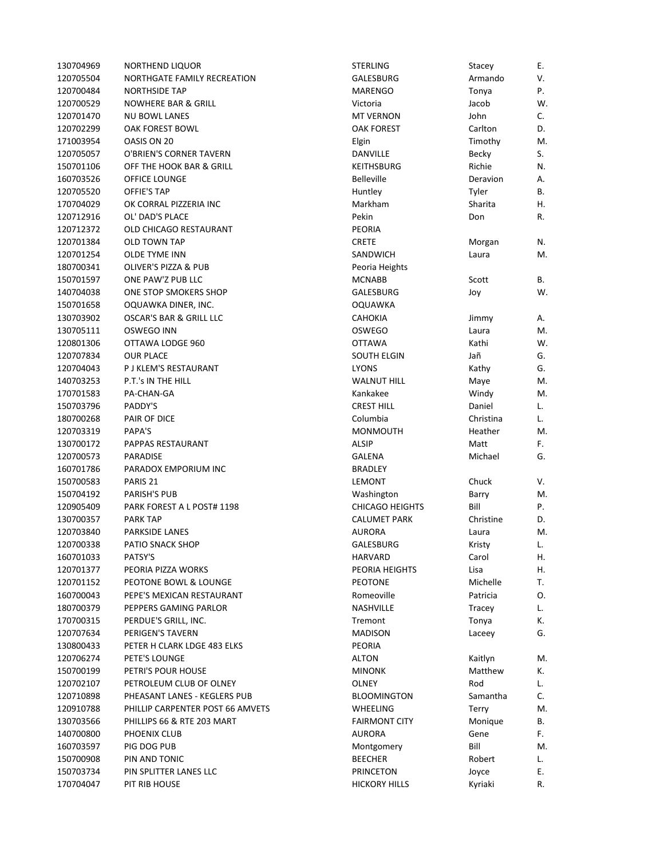| 130704969 | NORTHEND LIQUOR                    | <b>STERLING</b>        | Stacey    | Е.       |
|-----------|------------------------------------|------------------------|-----------|----------|
| 120705504 | NORTHGATE FAMILY RECREATION        | GALESBURG              | Armando   | V.       |
| 120700484 | <b>NORTHSIDE TAP</b>               | <b>MARENGO</b>         | Tonya     | P.       |
| 120700529 | <b>NOWHERE BAR &amp; GRILL</b>     | Victoria               | Jacob     | W.       |
| 120701470 | <b>NU BOWL LANES</b>               | <b>MT VERNON</b>       | John      | C.       |
| 120702299 | <b>OAK FOREST BOWL</b>             | <b>OAK FOREST</b>      | Carlton   | D.       |
| 171003954 | OASIS ON 20                        | Elgin                  | Timothy   | M.       |
| 120705057 | O'BRIEN'S CORNER TAVERN            | DANVILLE               | Becky     | S.       |
| 150701106 | OFF THE HOOK BAR & GRILL           | <b>KEITHSBURG</b>      | Richie    | N.       |
| 160703526 | OFFICE LOUNGE                      | <b>Belleville</b>      | Deravion  | А.       |
| 120705520 | OFFIE'S TAP                        | Huntley                | Tyler     | В.       |
| 170704029 | OK CORRAL PIZZERIA INC             | Markham                | Sharita   | Η.       |
| 120712916 | OL' DAD'S PLACE                    | Pekin                  | Don       | R.       |
| 120712372 | OLD CHICAGO RESTAURANT             | <b>PEORIA</b>          |           |          |
| 120701384 | OLD TOWN TAP                       | <b>CRETE</b>           | Morgan    | N.       |
| 120701254 | <b>OLDE TYME INN</b>               | SANDWICH               | Laura     | M.       |
| 180700341 | OLIVER'S PIZZA & PUB               | Peoria Heights         |           |          |
| 150701597 | ONE PAW'Z PUB LLC                  | <b>MCNABB</b>          | Scott     | В.       |
| 140704038 | <b>ONE STOP SMOKERS SHOP</b>       | GALESBURG              | Joy       | W.       |
| 150701658 | OQUAWKA DINER, INC.                | OQUAWKA                |           |          |
| 130703902 | <b>OSCAR'S BAR &amp; GRILL LLC</b> | <b>CAHOKIA</b>         | Jimmy     | А.       |
| 130705111 | OSWEGO INN                         | <b>OSWEGO</b>          | Laura     | M.       |
| 120801306 | OTTAWA LODGE 960                   | <b>OTTAWA</b>          | Kathi     | W.       |
| 120707834 | <b>OUR PLACE</b>                   | <b>SOUTH ELGIN</b>     | Jañ       | G.       |
| 120704043 | P J KLEM'S RESTAURANT              | <b>LYONS</b>           | Kathy     | G.       |
| 140703253 | P.T.'s IN THE HILL                 | <b>WALNUT HILL</b>     | Maye      | M.       |
| 170701583 | PA-CHAN-GA                         | Kankakee               | Windy     | M.       |
| 150703796 | PADDY'S                            | <b>CREST HILL</b>      | Daniel    | L.       |
| 180700268 | PAIR OF DICE                       | Columbia               | Christina | L.       |
| 120703319 | PAPA'S                             | <b>MONMOUTH</b>        | Heather   | M.       |
| 130700172 | PAPPAS RESTAURANT                  | ALSIP                  | Matt      | F.       |
| 120700573 | <b>PARADISE</b>                    | <b>GALENA</b>          | Michael   | G.       |
| 160701786 | PARADOX EMPORIUM INC               | <b>BRADLEY</b>         |           |          |
| 150700583 | PARIS <sub>21</sub>                | LEMONT                 | Chuck     | V.       |
| 150704192 | <b>PARISH'S PUB</b>                | Washington             | Barry     | M.       |
| 120905409 | PARK FOREST A L POST# 1198         | <b>CHICAGO HEIGHTS</b> | Bill      | Ρ.       |
| 130700357 | <b>PARK TAP</b>                    | <b>CALUMET PARK</b>    | Christine | D.       |
| 120703840 | <b>PARKSIDE LANES</b>              | <b>AURORA</b>          | Laura     | M.       |
| 120700338 | PATIO SNACK SHOP                   | GALESBURG              | Kristy    |          |
| 160701033 | PATSY'S                            | HARVARD                | Carol     | L.<br>Η. |
| 120701377 | PEORIA PIZZA WORKS                 | PEORIA HEIGHTS         | Lisa      | Η.       |
| 120701152 | PEOTONE BOWL & LOUNGE              | <b>PEOTONE</b>         | Michelle  | Т.       |
| 160700043 | PEPE'S MEXICAN RESTAURANT          | Romeoville             | Patricia  |          |
| 180700379 |                                    | NASHVILLE              |           | 0.       |
|           | PEPPERS GAMING PARLOR              |                        | Tracey    | L.       |
| 170700315 | PERDUE'S GRILL, INC.               | Tremont                | Tonya     | К.       |
| 120707634 | PERIGEN'S TAVERN                   | <b>MADISON</b>         | Laceey    | G.       |
| 130800433 | PETER H CLARK LDGE 483 ELKS        | <b>PEORIA</b>          |           |          |
| 120706274 | PETE'S LOUNGE                      | <b>ALTON</b>           | Kaitlyn   | M.       |
| 150700199 | PETRI'S POUR HOUSE                 | <b>MINONK</b>          | Matthew   | К.       |
| 120702107 | PETROLEUM CLUB OF OLNEY            | <b>OLNEY</b>           | Rod       | L.       |
| 120710898 | PHEASANT LANES - KEGLERS PUB       | <b>BLOOMINGTON</b>     | Samantha  | C.       |
| 120910788 | PHILLIP CARPENTER POST 66 AMVETS   | WHEELING               | Terry     | M.       |
| 130703566 | PHILLIPS 66 & RTE 203 MART         | <b>FAIRMONT CITY</b>   | Monique   | В.       |
| 140700800 | PHOENIX CLUB                       | <b>AURORA</b>          | Gene      | F.       |
| 160703597 | PIG DOG PUB                        | Montgomery             | Bill      | M.       |
| 150700908 | PIN AND TONIC                      | <b>BEECHER</b>         | Robert    | L.       |
| 150703734 | PIN SPLITTER LANES LLC             | PRINCETON              | Joyce     | Е.       |
| 170704047 | PIT RIB HOUSE                      | <b>HICKORY HILLS</b>   | Kyriaki   | R.       |

| <b>STERLING</b>        | Stacey    | Ε. |
|------------------------|-----------|----|
| GALESBURG              | Armando   | ٧. |
| MARENGO                | Tonya     | P. |
| Victoria               | Jacob     | W. |
| <b>MT VERNON</b>       | John      | C. |
| <b>OAK FOREST</b>      | Carlton   | D. |
| Elgin                  | Timothy   | M. |
| DANVILLE               | Becky     | S. |
| <b>KEITHSBURG</b>      | Richie    | N. |
| <b>Belleville</b>      | Deravion  | А. |
| Huntley                | Tyler     | В. |
| Markham                | Sharita   | Η. |
| Pekin                  | Don       | R. |
| <b>PEORIA</b>          |           |    |
| <b>CRETE</b>           | Morgan    | N. |
| SANDWICH               | Laura     | М. |
| Peoria Heights         |           |    |
| <b>MCNABB</b>          | Scott     | В. |
| GALESBURG              | Joy       | W. |
| <b>OQUAWKA</b>         |           |    |
| <b>CAHOKIA</b>         | Jimmy     | А. |
| <b>OSWEGO</b>          | Laura     | M. |
| <b>OTTAWA</b>          | Kathi     | W. |
| <b>SOUTH ELGIN</b>     | Jañ       | G. |
| <b>LYONS</b>           | Kathy     | G. |
| <b>WALNUT HILL</b>     | Maye      | M. |
| Kankakee               | Windy     | M. |
| <b>CREST HILL</b>      | Daniel    | L. |
| Columbia               | Christina | L. |
| MONMOUTH               | Heather   | M. |
| <b>ALSIP</b>           | Matt      | F. |
| GALENA                 | Michael   | G. |
| <b>BRADLEY</b>         |           |    |
| LEMONT                 | Chuck     | V. |
| Washington             | Barry     | М. |
| <b>CHICAGO HEIGHTS</b> | Bill      | P. |
| <b>CALUMET PARK</b>    | Christine | D. |
| <b>AURORA</b>          | Laura     | М. |
| GALESBURG              | Kristy    | L. |
| HARVARD                | Carol     | Н. |
| PEORIA HEIGHTS         | Lisa      | Η. |
| <b>PEOTONE</b>         | Michelle  | т. |
| Romeoville             | Patricia  | О. |
| NASHVILLE              | Tracey    | L. |
| Tremont                | Tonya     | К. |
| MADISON                | Laceey    | G. |
| PEORIA                 |           |    |
| <b>ALTON</b>           | Kaitlyn   | М. |
| <b>MINONK</b>          | Matthew   | Κ. |
| OLNEY                  | Rod       | L. |
| <b>BLOOMINGTON</b>     | Samantha  | C. |
| <b>WHEELING</b>        | Terry     | М. |
| <b>FAIRMONT CITY</b>   | Monique   | В. |
| <b>AURORA</b>          | Gene      | F. |
| Montgomery             | Bill      | M. |
| <b>BEECHER</b>         | Robert    | L. |
| <b>PRINCETON</b>       | Joyce     | Ε. |
| <b>HICKORY HILLS</b>   | Kyriaki   | R. |
|                        |           |    |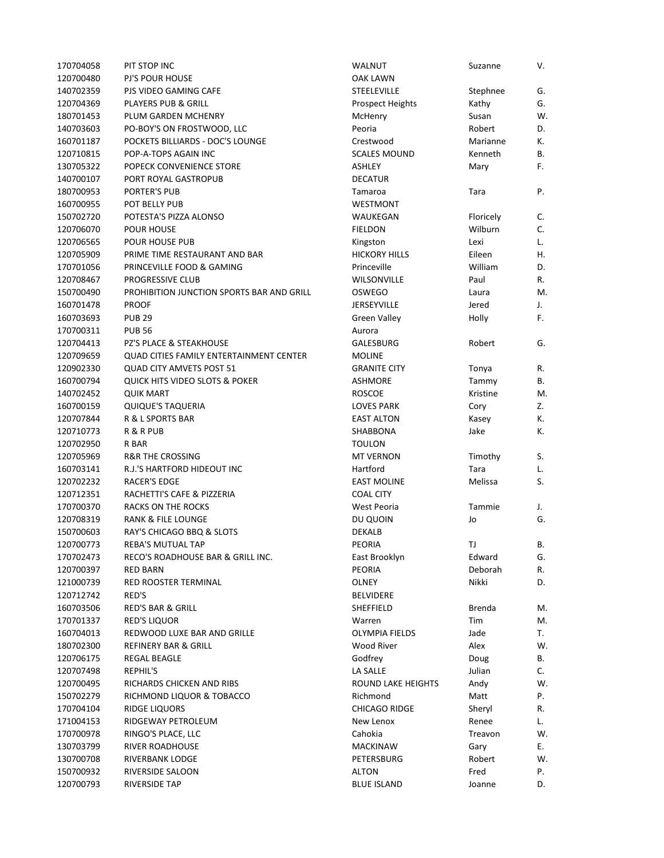| 170704058 | PIT STOP INC                                   | <b>WALNUT</b>             | Suzanne   | V. |
|-----------|------------------------------------------------|---------------------------|-----------|----|
| 120700480 | <b>PJ'S POUR HOUSE</b>                         | <b>OAK LAWN</b>           |           |    |
| 140702359 | PJS VIDEO GAMING CAFE                          | <b>STEELEVILLE</b>        | Stephnee  | G. |
| 120704369 | PLAYERS PUB & GRILL                            | <b>Prospect Heights</b>   | Kathy     | G. |
| 180701453 | PLUM GARDEN MCHENRY                            | McHenry                   | Susan     | W. |
| 140703603 | PO-BOY'S ON FROSTWOOD, LLC                     | Peoria                    | Robert    | D. |
| 160701187 | POCKETS BILLIARDS - DOC'S LOUNGE               | Crestwood                 | Marianne  | К. |
| 120710815 | POP-A-TOPS AGAIN INC                           | <b>SCALES MOUND</b>       | Kenneth   | В. |
| 130705322 | POPECK CONVENIENCE STORE                       | <b>ASHLEY</b>             | Mary      | F. |
| 140700107 | PORT ROYAL GASTROPUB                           | <b>DECATUR</b>            |           |    |
| 180700953 | PORTER'S PUB                                   | Tamaroa                   | Tara      | Ρ. |
| 160700955 | POT BELLY PUB                                  | <b>WESTMONT</b>           |           |    |
| 150702720 | POTESTA'S PIZZA ALONSO                         | WAUKEGAN                  | Floricely | C. |
| 120706070 | <b>POUR HOUSE</b>                              | <b>FIELDON</b>            | Wilburn   | C. |
| 120706565 | POUR HOUSE PUB                                 | Kingston                  | Lexi      | L. |
| 120705909 | PRIME TIME RESTAURANT AND BAR                  | <b>HICKORY HILLS</b>      | Eileen    | Η. |
| 170701056 | PRINCEVILLE FOOD & GAMING                      | Princeville               | William   | D. |
| 120708467 | PROGRESSIVE CLUB                               | <b>WILSONVILLE</b>        | Paul      | R. |
| 150700490 | PROHIBITION JUNCTION SPORTS BAR AND GRILL      | <b>OSWEGO</b>             | Laura     | М. |
| 160701478 | <b>PROOF</b>                                   | JERSEYVILLE               | Jered     | J. |
| 160703693 | <b>PUB 29</b>                                  | <b>Green Valley</b>       | Holly     | F. |
| 170700311 | <b>PUB 56</b>                                  | Aurora                    |           |    |
| 120704413 | PZ'S PLACE & STEAKHOUSE                        | GALESBURG                 | Robert    | G. |
| 120709659 | <b>QUAD CITIES FAMILY ENTERTAINMENT CENTER</b> | <b>MOLINE</b>             |           |    |
| 120902330 | <b>QUAD CITY AMVETS POST 51</b>                | <b>GRANITE CITY</b>       |           |    |
|           |                                                |                           | Tonya     | R. |
| 160700794 | <b>QUICK HITS VIDEO SLOTS &amp; POKER</b>      | <b>ASHMORE</b>            | Tammy     | В. |
| 140702452 | <b>QUIK MART</b>                               | <b>ROSCOE</b>             | Kristine  | M. |
| 160700159 | <b>QUIQUE'S TAQUERIA</b>                       | <b>LOVES PARK</b>         | Cory      | Z. |
| 120707844 | R & L SPORTS BAR                               | <b>EAST ALTON</b>         | Kasey     | К. |
| 120710773 | R & R PUB                                      | SHABBONA                  | Jake      | К. |
| 120702950 | R BAR                                          | <b>TOULON</b>             |           |    |
| 120705969 | <b>R&amp;R THE CROSSING</b>                    | <b>MT VERNON</b>          | Timothy   | S. |
| 160703141 | R.J.'S HARTFORD HIDEOUT INC                    | Hartford                  | Tara      | L. |
| 120702232 | <b>RACER'S EDGE</b>                            | <b>EAST MOLINE</b>        | Melissa   | S. |
| 120712351 | RACHETTI'S CAFE & PIZZERIA                     | <b>COAL CITY</b>          |           |    |
| 170700370 | <b>RACKS ON THE ROCKS</b>                      | West Peoria               | Tammie    | J. |
| 120708319 | <b>RANK &amp; FILE LOUNGE</b>                  | DU QUOIN                  | Jo        | G. |
| 150700603 | RAY'S CHICAGO BBQ & SLOTS                      | <b>DEKALB</b>             |           |    |
| 120700773 | REBA'S MUTUAL TAP                              | PEORIA                    | TJ        | В. |
| 170702473 | RECO'S ROADHOUSE BAR & GRILL INC.              | East Brooklyn             | Edward    | G. |
| 120700397 | <b>RED BARN</b>                                | <b>PEORIA</b>             | Deborah   | R. |
| 121000739 | RED ROOSTER TERMINAL                           | OLNEY                     | Nikki     | D. |
| 120712742 | RED'S                                          | <b>BELVIDERE</b>          |           |    |
| 160703506 | RED'S BAR & GRILL                              | SHEFFIELD                 | Brenda    | M. |
| 170701337 | <b>RED'S LIQUOR</b>                            | Warren                    | Tim       | М. |
| 160704013 | REDWOOD LUXE BAR AND GRILLE                    | <b>OLYMPIA FIELDS</b>     | Jade      | Т. |
| 180702300 | <b>REFINERY BAR &amp; GRILL</b>                | Wood River                | Alex      | W. |
| 120706175 | <b>REGAL BEAGLE</b>                            | Godfrey                   | Doug      | В. |
| 120707498 | REPHIL'S                                       | LA SALLE                  | Julian    | C. |
| 120700495 | RICHARDS CHICKEN AND RIBS                      | <b>ROUND LAKE HEIGHTS</b> | Andy      | W. |
| 150702279 | RICHMOND LIQUOR & TOBACCO                      | Richmond                  | Matt      | Ρ. |
| 170704104 | RIDGE LIQUORS                                  | <b>CHICAGO RIDGE</b>      | Sheryl    | R. |
| 171004153 | RIDGEWAY PETROLEUM                             | New Lenox                 | Renee     | L. |
| 170700978 | RINGO'S PLACE, LLC                             | Cahokia                   | Treavon   | W. |
| 130703799 | RIVER ROADHOUSE                                | <b>MACKINAW</b>           | Gary      | Е. |
| 130700708 | RIVERBANK LODGE                                | PETERSBURG                | Robert    | W. |
| 150700932 | RIVERSIDE SALOON                               | ALTON                     | Fred      | Ρ. |
| 120700793 | <b>RIVERSIDE TAP</b>                           | <b>BLUE ISLAND</b>        | Joanne    | D. |
|           |                                                |                           |           |    |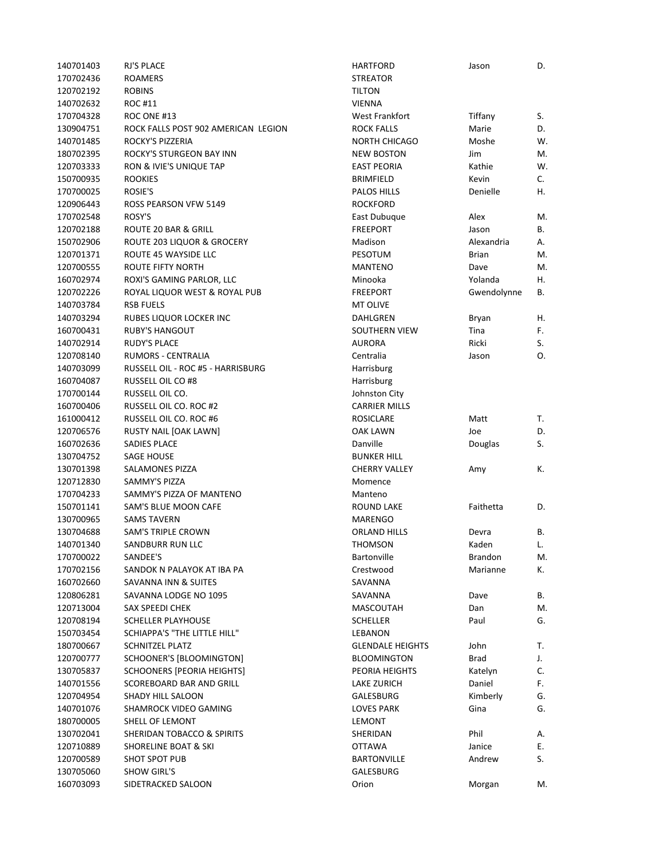| 140701403 | RJ'S PLACE                          | <b>HARTFORD</b>         | Jason        | D. |
|-----------|-------------------------------------|-------------------------|--------------|----|
| 170702436 | <b>ROAMERS</b>                      | <b>STREATOR</b>         |              |    |
| 120702192 | <b>ROBINS</b>                       | <b>TILTON</b>           |              |    |
| 140702632 | <b>ROC #11</b>                      | <b>VIENNA</b>           |              |    |
| 170704328 | ROC ONE #13                         | West Frankfort          | Tiffany      | S. |
| 130904751 | ROCK FALLS POST 902 AMERICAN LEGION | <b>ROCK FALLS</b>       | Marie        | D. |
| 140701485 | ROCKY'S PIZZERIA                    | <b>NORTH CHICAGO</b>    | Moshe        | W. |
| 180702395 | ROCKY'S STURGEON BAY INN            | <b>NEW BOSTON</b>       | Jim          | M. |
| 120703333 | RON & IVIE'S UNIQUE TAP             | <b>EAST PEORIA</b>      | Kathie       | W. |
| 150700935 | <b>ROOKIES</b>                      | <b>BRIMFIELD</b>        | Kevin        | C. |
| 170700025 | ROSIE'S                             | PALOS HILLS             | Denielle     | Η. |
| 120906443 | ROSS PEARSON VFW 5149               | <b>ROCKFORD</b>         |              |    |
| 170702548 | ROSY'S                              | East Dubuque            | Alex         | M. |
| 120702188 | ROUTE 20 BAR & GRILL                | <b>FREEPORT</b>         | Jason        | В. |
| 150702906 | ROUTE 203 LIQUOR & GROCERY          | Madison                 | Alexandria   | Α. |
| 120701371 | ROUTE 45 WAYSIDE LLC                | PESOTUM                 | <b>Brian</b> | M. |
| 120700555 | ROUTE FIFTY NORTH                   | <b>MANTENO</b>          | Dave         | M. |
| 160702974 | ROXI'S GAMING PARLOR, LLC           | Minooka                 | Yolanda      | Η. |
| 120702226 | ROYAL LIQUOR WEST & ROYAL PUB       | <b>FREEPORT</b>         | Gwendolynne  | В. |
| 140703784 | <b>RSB FUELS</b>                    | <b>MT OLIVE</b>         |              |    |
| 140703294 | RUBES LIQUOR LOCKER INC             | DAHLGREN                | Bryan        | Η. |
| 160700431 | <b>RUBY'S HANGOUT</b>               | SOUTHERN VIEW           | Tina         | F. |
| 140702914 | <b>RUDY'S PLACE</b>                 | AURORA                  | Ricki        | S. |
| 120708140 | <b>RUMORS - CENTRALIA</b>           | Centralia               | Jason        | O. |
| 140703099 | RUSSELL OIL - ROC #5 - HARRISBURG   | Harrisburg              |              |    |
| 160704087 | <b>RUSSELL OIL CO #8</b>            | Harrisburg              |              |    |
| 170700144 | RUSSELL OIL CO.                     | Johnston City           |              |    |
| 160700406 | RUSSELL OIL CO. ROC #2              | <b>CARRIER MILLS</b>    |              |    |
| 161000412 | RUSSELL OIL CO. ROC #6              | <b>ROSICLARE</b>        | Matt         | Т. |
| 120706576 | RUSTY NAIL [OAK LAWN]               | <b>OAK LAWN</b>         | Joe          | D. |
| 160702636 | SADIES PLACE                        | Danville                | Douglas      | S. |
| 130704752 | SAGE HOUSE                          | <b>BUNKER HILL</b>      |              |    |
| 130701398 | <b>SALAMONES PIZZA</b>              | <b>CHERRY VALLEY</b>    | Amy          | К. |
| 120712830 | <b>SAMMY'S PIZZA</b>                | Momence                 |              |    |
| 170704233 | SAMMY'S PIZZA OF MANTENO            | Manteno                 |              |    |
| 150701141 | SAM'S BLUE MOON CAFE                | <b>ROUND LAKE</b>       | Faithetta    | D. |
| 130700965 | <b>SAMS TAVERN</b>                  | <b>MARENGO</b>          |              |    |
| 130704688 | <b>SAM'S TRIPLE CROWN</b>           | <b>ORLAND HILLS</b>     | Devra        | В. |
| 140701340 | SANDBURR RUN LLC                    | <b>THOMSON</b>          | Kaden        | L. |
| 170700022 | SANDEE'S                            | <b>Bartonville</b>      | Brandon      | M. |
| 170702156 | SANDOK N PALAYOK AT IBA PA          | Crestwood               | Marianne     | К. |
| 160702660 | SAVANNA INN & SUITES                | SAVANNA                 |              |    |
| 120806281 | SAVANNA LODGE NO 1095               | SAVANNA                 | Dave         | В. |
| 120713004 | SAX SPEEDI CHEK                     | MASCOUTAH               | Dan          | M. |
| 120708194 | <b>SCHELLER PLAYHOUSE</b>           | <b>SCHELLER</b>         | Paul         | G. |
| 150703454 | SCHIAPPA'S "THE LITTLE HILL"        | LEBANON                 |              |    |
| 180700667 | <b>SCHNITZEL PLATZ</b>              | <b>GLENDALE HEIGHTS</b> | John         | Т. |
| 120700777 | SCHOONER'S [BLOOMINGTON]            | <b>BLOOMINGTON</b>      | <b>Brad</b>  | J. |
| 130705837 | SCHOONERS [PEORIA HEIGHTS]          | PEORIA HEIGHTS          | Katelyn      | C. |
| 140701556 | SCOREBOARD BAR AND GRILL            | LAKE ZURICH             | Daniel       | F. |
| 120704954 | SHADY HILL SALOON                   | GALESBURG               | Kimberly     | G. |
| 140701076 | SHAMROCK VIDEO GAMING               | LOVES PARK              | Gina         | G. |
| 180700005 | SHELL OF LEMONT                     | LEMONT                  |              |    |
| 130702041 | SHERIDAN TOBACCO & SPIRITS          | SHERIDAN                | Phil         | А. |
| 120710889 | <b>SHORELINE BOAT &amp; SKI</b>     | <b>OTTAWA</b>           | Janice       | Е. |
| 120700589 | <b>SHOT SPOT PUB</b>                | <b>BARTONVILLE</b>      | Andrew       | S. |
| 130705060 | <b>SHOW GIRL'S</b>                  | GALESBURG               |              |    |
| 160703093 | SIDETRACKED SALOON                  | Orion                   | Morgan       | M. |
|           |                                     |                         |              |    |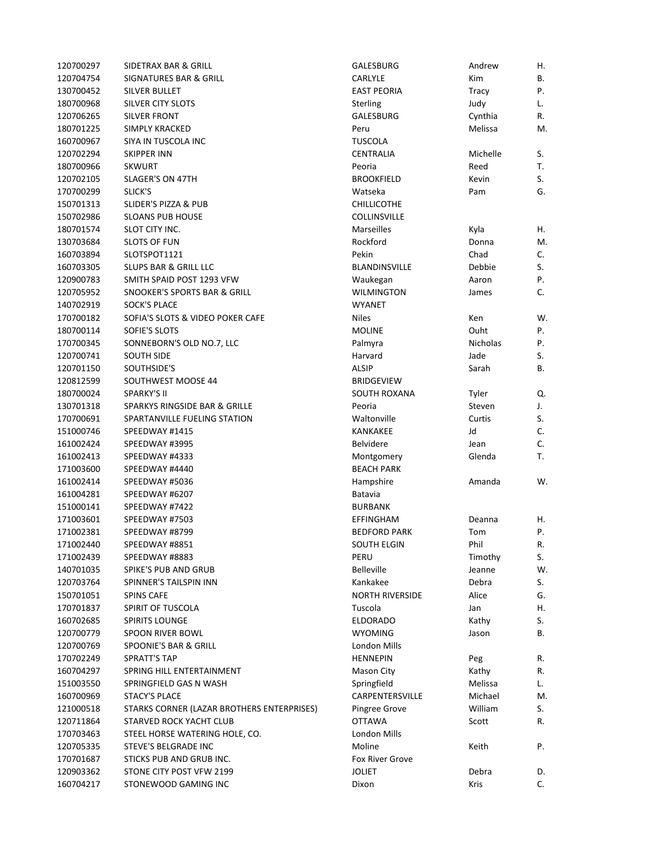| 120700297              | SIDETRAX BAR & GRILL                       | GALESBURG              | Andrew   | Η.       |
|------------------------|--------------------------------------------|------------------------|----------|----------|
| 120704754              | SIGNATURES BAR & GRILL                     | <b>CARLYLE</b>         | Kim      | В.       |
| 130700452              | SILVER BULLET                              | <b>EAST PEORIA</b>     | Tracy    | Ρ.       |
| 180700968              | SILVER CITY SLOTS                          | Sterling               | Judy     | L.       |
| 120706265              | <b>SILVER FRONT</b>                        | GALESBURG              | Cynthia  | R.       |
| 180701225              | SIMPLY KRACKED                             | Peru                   | Melissa  | M.       |
| 160700967              | SIYA IN TUSCOLA INC                        | TUSCOLA                |          |          |
| 120702294              | SKIPPER INN                                | CENTRALIA              | Michelle | S.       |
| 180700966              | SKWURT                                     | Peoria                 | Reed     | T.       |
| 120702105              | SLAGER'S ON 47TH                           | <b>BROOKFIELD</b>      | Kevin    | S.       |
| 170700299              | SLICK'S                                    | Watseka                | Pam      | G.       |
| 150701313              | <b>SLIDER'S PIZZA &amp; PUB</b>            | <b>CHILLICOTHE</b>     |          |          |
| 150702986              | <b>SLOANS PUB HOUSE</b>                    | <b>COLLINSVILLE</b>    |          |          |
| 180701574              | SLOT CITY INC.                             | <b>Marseilles</b>      | Kyla     | Η.       |
| 130703684              | <b>SLOTS OF FUN</b>                        | Rockford               | Donna    | M.       |
| 160703894              | SLOTSPOT1121                               | Pekin                  | Chad     | C.       |
| 160703305              | <b>SLUPS BAR &amp; GRILL LLC</b>           | BLANDINSVILLE          | Debbie   | S.       |
| 120900783              | SMITH SPAID POST 1293 VFW                  | Waukegan               | Aaron    | Ρ.       |
| 120705952              | SNOOKER'S SPORTS BAR & GRILL               | <b>WILMINGTON</b>      | James    | C.       |
| 140702919              | <b>SOCK'S PLACE</b>                        | <b>WYANET</b>          |          |          |
| 170700182              | SOFIA'S SLOTS & VIDEO POKER CAFE           | <b>Niles</b>           | Ken      | W.       |
| 180700114              | SOFIE'S SLOTS                              | <b>MOLINE</b>          | Ouht     | Ρ.       |
| 170700345              | SONNEBORN'S OLD NO.7, LLC                  | Palmyra                | Nicholas | Ρ.       |
| 120700741              | <b>SOUTH SIDE</b>                          | Harvard                | Jade     | S.       |
| 120701150              | SOUTHSIDE'S                                | <b>ALSIP</b>           | Sarah    | В.       |
| 120812599              | SOUTHWEST MOOSE 44                         | <b>BRIDGEVIEW</b>      |          |          |
| 180700024              | <b>SPARKY'S II</b>                         | SOUTH ROXANA           | Tyler    | Q.       |
| 130701318              | SPARKYS RINGSIDE BAR & GRILLE              | Peoria                 | Steven   | J.       |
| 170700691              | SPARTANVILLE FUELING STATION               | Waltonville            | Curtis   | S.       |
| 151000746              | SPEEDWAY #1415                             | <b>KANKAKEE</b>        | Jd       | C.       |
| 161002424              | SPEEDWAY #3995                             | <b>Belvidere</b>       | Jean     | C.       |
| 161002413              | SPEEDWAY #4333                             | Montgomery             | Glenda   | T.       |
| 171003600              | SPEEDWAY #4440                             | <b>BEACH PARK</b>      |          |          |
| 161002414              | SPEEDWAY #5036                             | Hampshire              | Amanda   | W.       |
| 161004281              | SPEEDWAY #6207                             | Batavia                |          |          |
|                        | SPEEDWAY #7422                             | <b>BURBANK</b>         |          |          |
| 151000141              | SPEEDWAY #7503                             | <b>EFFINGHAM</b>       | Deanna   |          |
| 171003601<br>171002381 | SPEEDWAY #8799                             | <b>BEDFORD PARK</b>    |          | Η.<br>Ρ. |
| 171002440              |                                            |                        | Tom      |          |
|                        | SPEEDWAY #8851                             | SOUTH ELGIN            | Phil     | R.       |
| 171002439              | SPEEDWAY #8883                             | PERU                   | Timothy  | S.       |
| 140701035              | SPIKE'S PUB AND GRUB                       | Belleville             | Jeanne   | W.       |
| 120703764              | SPINNER'S TAILSPIN INN                     | Kankakee               | Debra    | S.       |
| 150701051              | <b>SPINS CAFE</b>                          | <b>NORTH RIVERSIDE</b> | Alice    | G.       |
| 170701837              | SPIRIT OF TUSCOLA                          | Tuscola                | Jan      | Η.       |
| 160702685              | <b>SPIRITS LOUNGE</b>                      | <b>ELDORADO</b>        | Kathy    | S.       |
| 120700779              | SPOON RIVER BOWL                           | <b>WYOMING</b>         | Jason    | В.       |
| 120700769              | SPOONIE'S BAR & GRILL                      | London Mills           |          |          |
| 170702249              | SPRATT'S TAP                               | <b>HENNEPIN</b>        | Peg      | R.       |
| 160704297              | SPRING HILL ENTERTAINMENT                  | Mason City             | Kathy    | R.       |
| 151003550              | SPRINGFIELD GAS N WASH                     | Springfield            | Melissa  | L.       |
| 160700969              | <b>STACY'S PLACE</b>                       | CARPENTERSVILLE        | Michael  | M.       |
| 121000518              | STARKS CORNER (LAZAR BROTHERS ENTERPRISES) | Pingree Grove          | William  | S.       |
| 120711864              | STARVED ROCK YACHT CLUB                    | <b>OTTAWA</b>          | Scott    | R.       |
| 170703463              | STEEL HORSE WATERING HOLE, CO.             | London Mills           |          |          |
| 120705335              | STEVE'S BELGRADE INC                       | Moline                 | Keith    | Ρ.       |
| 170701687              | STICKS PUB AND GRUB INC.                   | <b>Fox River Grove</b> |          |          |
| 120903362              | STONE CITY POST VFW 2199                   | <b>JOLIET</b>          | Debra    | D.       |
| 160704217              | STONEWOOD GAMING INC                       | Dixon                  | Kris     | C.       |

| GALESBURG              | Andrew          | Η. |
|------------------------|-----------------|----|
| CARLYLE                | Kim             | В. |
| <b>EAST PEORIA</b>     | Tracy           | Ρ. |
| <b>Sterling</b>        | Judy            | L. |
| GALESBURG              | Cynthia         | R. |
| Peru                   | Melissa         | M. |
| TUSCOLA                |                 |    |
| CENTRALIA              | Michelle        | S. |
| Peoria                 | Reed            | Т. |
| BROOKFIELD             | Kevin           | S. |
| Watseka                | Pam             | G. |
| <b>CHILLICOTHE</b>     |                 |    |
| <b>COLLINSVILLE</b>    |                 |    |
| Marseilles             | Kyla            | Η. |
| Rockford               | Donna           | M. |
| Pekin                  | Chad            | C. |
| BLANDINSVILLE          | Debbie          | S. |
| Waukegan               | Aaron           | Ρ. |
| WILMINGTON             |                 | C. |
|                        | James           |    |
| WYANET                 |                 |    |
| Niles                  | Ken             | W  |
| MOLINE                 | Ouht            | Ρ. |
| Palmyra                | <b>Nicholas</b> | P. |
| Harvard                | Jade            | S. |
| <b>ALSIP</b>           | Sarah           | В. |
| BRIDGEVIEW             |                 |    |
| SOUTH ROXANA           | Tyler           | Q. |
| Peoria                 | Steven          | J. |
| Waltonville            | Curtis          | S. |
| KANKAKEE               | Jd              | C. |
| Belvidere              | Jean            | C. |
| Montgomery             | Glenda          | T. |
| <b>BEACH PARK</b>      |                 |    |
| Hampshire              | Amanda          | W  |
| Batavia                |                 |    |
| BURBANK                |                 |    |
| EFFINGHAM              | Deanna          | Η. |
| <b>BEDFORD PARK</b>    | Tom             | Ρ. |
| SOUTH ELGIN            | Phil            | R. |
| PERU                   | Timothy         | S. |
| <b>Belleville</b>      | Jeanne          | W  |
| Kankakee               | Debra           | S. |
| <b>NORTH RIVERSIDE</b> | Alice           | G. |
| Tuscola                | Jan             | Η. |
| ELDORADO               | Kathy           | S. |
| WYOMING                | Jason           | В. |
| London Mills           |                 |    |
| <b>HENNEPIN</b>        |                 |    |
|                        | Peg             | R. |
| Mason City             | Kathy           | R. |
| Springfield            | Melissa         | L. |
| CARPENTERSVILLE        | Michael         | M. |
| Pingree Grove          | William         | S. |
| OTTAWA                 | Scott           | R. |
| London Mills           |                 |    |
| Moline                 | Keith           | Ρ. |
| Fox River Grove        |                 |    |
| JOLIET                 | Debra           | D. |
| Dixon                  | Kris            | C. |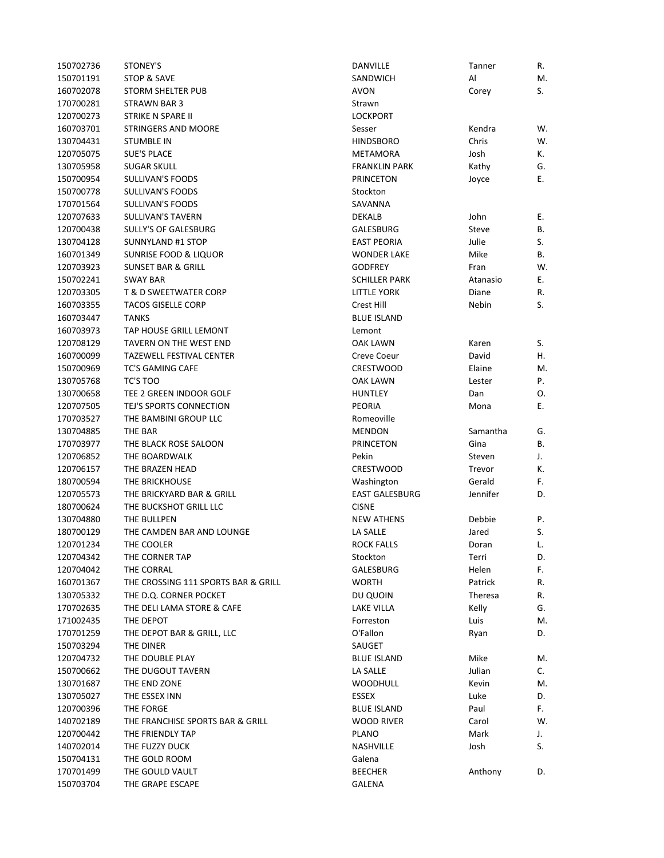| 150702736 | STONEY'S                                                  | <b>DANVILLE</b>       | Tanner   | R. |
|-----------|-----------------------------------------------------------|-----------------------|----------|----|
| 150701191 | STOP & SAVE                                               | SANDWICH              | Al       | M. |
| 160702078 | <b>STORM SHELTER PUB</b>                                  | <b>AVON</b>           | Corey    | S. |
| 170700281 | <b>STRAWN BAR 3</b>                                       | Strawn                |          |    |
| 120700273 | STRIKE N SPARE II                                         | <b>LOCKPORT</b>       |          |    |
| 160703701 | <b>STRINGERS AND MOORE</b>                                | Sesser                | Kendra   | W. |
| 130704431 | <b>STUMBLE IN</b>                                         | <b>HINDSBORO</b>      | Chris    | W. |
| 120705075 | <b>SUE'S PLACE</b>                                        | METAMORA              | Josh     | К. |
| 130705958 | <b>SUGAR SKULL</b>                                        | <b>FRANKLIN PARK</b>  | Kathy    | G. |
| 150700954 | <b>SULLIVAN'S FOODS</b>                                   | <b>PRINCETON</b>      | Joyce    | Ε. |
| 150700778 | <b>SULLIVAN'S FOODS</b>                                   | Stockton              |          |    |
| 170701564 | <b>SULLIVAN'S FOODS</b>                                   | SAVANNA               |          |    |
| 120707633 | <b>SULLIVAN'S TAVERN</b>                                  | DEKALB                | John     | Е. |
| 120700438 | <b>SULLY'S OF GALESBURG</b>                               | GALESBURG             | Steve    | В. |
| 130704128 | <b>SUNNYLAND #1 STOP</b>                                  | <b>EAST PEORIA</b>    | Julie    | S. |
| 160701349 | <b>SUNRISE FOOD &amp; LIQUOR</b>                          | <b>WONDER LAKE</b>    | Mike     | В. |
| 120703923 | <b>SUNSET BAR &amp; GRILL</b>                             | <b>GODFREY</b>        | Fran     | W. |
| 150702241 | <b>SWAY BAR</b>                                           | <b>SCHILLER PARK</b>  | Atanasio | Е. |
| 120703305 | <b>T &amp; D SWEETWATER CORP</b>                          | <b>LITTLE YORK</b>    | Diane    | R. |
| 160703355 | <b>TACOS GISELLE CORP</b>                                 | Crest Hill            | Nebin    | S. |
| 160703447 | <b>TANKS</b>                                              | <b>BLUE ISLAND</b>    |          |    |
| 160703973 | TAP HOUSE GRILL LEMONT                                    | Lemont                |          |    |
| 120708129 |                                                           |                       |          |    |
|           | TAVERN ON THE WEST END<br><b>TAZEWELL FESTIVAL CENTER</b> | OAK LAWN              | Karen    | S. |
| 160700099 |                                                           | Creve Coeur           | David    | Η. |
| 150700969 | <b>TC'S GAMING CAFE</b>                                   | <b>CRESTWOOD</b>      | Elaine   | M. |
| 130705768 | TC'S TOO                                                  | OAK LAWN              | Lester   | Ρ. |
| 130700658 | TEE 2 GREEN INDOOR GOLF                                   | <b>HUNTLEY</b>        | Dan      | Ο. |
| 120707505 | TEJ'S SPORTS CONNECTION                                   | <b>PEORIA</b>         | Mona     | Ε. |
| 170703527 | THE BAMBINI GROUP LLC                                     | Romeoville            |          |    |
| 130704885 | THE BAR                                                   | <b>MENDON</b>         | Samantha | G. |
| 170703977 | THE BLACK ROSE SALOON                                     | PRINCETON             | Gina     | В. |
| 120706852 | THE BOARDWALK                                             | Pekin                 | Steven   | J. |
| 120706157 | THE BRAZEN HEAD                                           | <b>CRESTWOOD</b>      | Trevor   | К. |
| 180700594 | THE BRICKHOUSE                                            | Washington            | Gerald   | F. |
| 120705573 | THE BRICKYARD BAR & GRILL                                 | <b>EAST GALESBURG</b> | Jennifer | D. |
| 180700624 | THE BUCKSHOT GRILL LLC                                    | <b>CISNE</b>          |          |    |
| 130704880 | THE BULLPEN                                               | <b>NEW ATHENS</b>     | Debbie   | Ρ. |
| 180700129 | THE CAMDEN BAR AND LOUNGE                                 | LA SALLE              | Jared    | S. |
| 120701234 | THE COOLER                                                | <b>ROCK FALLS</b>     | Doran    | L. |
| 120704342 | THE CORNER TAP                                            | Stockton              | Terri    | D. |
| 120704042 | THE CORRAL                                                | GALESBURG             | Helen    | F. |
| 160701367 | THE CROSSING 111 SPORTS BAR & GRILL                       | <b>WORTH</b>          | Patrick  | R. |
| 130705332 | THE D.Q. CORNER POCKET                                    | DU QUOIN              | Theresa  | R. |
| 170702635 | THE DELI LAMA STORE & CAFE                                | LAKE VILLA            | Kelly    | G. |
| 171002435 | THE DEPOT                                                 | Forreston             | Luis     | M. |
| 170701259 | THE DEPOT BAR & GRILL, LLC                                | O'Fallon              | Ryan     | D. |
| 150703294 | THE DINER                                                 | SAUGET                |          |    |
| 120704732 | THE DOUBLE PLAY                                           | <b>BLUE ISLAND</b>    | Mike     | M. |
| 150700662 | THE DUGOUT TAVERN                                         | LA SALLE              | Julian   | C. |
| 130701687 | THE END ZONE                                              | <b>WOODHULL</b>       | Kevin    | M. |
| 130705027 | THE ESSEX INN                                             | ESSEX                 | Luke     | D. |
| 120700396 | THE FORGE                                                 | <b>BLUE ISLAND</b>    | Paul     | F. |
| 140702189 | THE FRANCHISE SPORTS BAR & GRILL                          | WOOD RIVER            | Carol    | W. |
| 120700442 | THE FRIENDLY TAP                                          | <b>PLANO</b>          | Mark     | J. |
| 140702014 | THE FUZZY DUCK                                            | NASHVILLE             | Josh     | S. |
| 150704131 | THE GOLD ROOM                                             | Galena                |          |    |
| 170701499 | THE GOULD VAULT                                           | <b>BEECHER</b>        | Anthony  | D. |
| 150703704 | THE GRAPE ESCAPE                                          | GALENA                |          |    |
|           |                                                           |                       |          |    |

| DANVILLE              | Tanner   | R. |
|-----------------------|----------|----|
| SANDWICH              | Al       | M. |
| <b>AVON</b>           | Corey    | S. |
| Strawn                |          |    |
| <b>LOCKPORT</b>       |          |    |
| Sesser                | Kendra   | W. |
| <b>HINDSBORO</b>      | Chris    | W. |
| <b>METAMORA</b>       | Josh     | К. |
| <b>FRANKLIN PARK</b>  | Kathy    | G. |
| <b>PRINCETON</b>      | Joyce    | Е. |
| Stockton              |          |    |
| SAVANNA               |          |    |
| <b>DEKALB</b>         | John     | Е. |
|                       |          | В. |
| GALESBURG             | Steve    |    |
| <b>EAST PEORIA</b>    | Julie    | S. |
| <b>WONDER LAKE</b>    | Mike     | В. |
| <b>GODFREY</b>        | Fran     | W. |
| <b>SCHILLER PARK</b>  | Atanasio | Е. |
| <b>LITTLE YORK</b>    | Diane    | R. |
| Crest Hill            | Nebin    | S. |
| <b>BLUE ISLAND</b>    |          |    |
| Lemont                |          |    |
| <b>OAK LAWN</b>       | Karen    | S. |
| <b>Creve Coeur</b>    | David    | Η. |
| <b>CRESTWOOD</b>      | Elaine   | M. |
| OAK LAWN              | Lester   | Ρ. |
| <b>HUNTLEY</b>        | Dan      | Ο. |
| <b>PEORIA</b>         | Mona     | Е. |
| Romeoville            |          |    |
| <b>MENDON</b>         | Samantha | G. |
| <b>PRINCETON</b>      | Gina     | В. |
| Pekin                 | Steven   | J. |
| <b>CRESTWOOD</b>      | Trevor   | К. |
| Washington            | Gerald   | F. |
| <b>EAST GALESBURG</b> | Jennifer | D. |
| <b>CISNE</b>          |          |    |
| <b>NEW ATHENS</b>     | Debbie   | Ρ. |
| LA SALLE              | Jared    | S. |
| <b>ROCK FALLS</b>     | Doran    | L. |
| Stockton              | Terri    | D. |
| GALESBURG             | Helen    | F. |
| <b>WORTH</b>          | Patrick  | R. |
| DU QUOIN              | Theresa  | R. |
| <b>LAKE VILLA</b>     | Kelly    | G. |
| Forreston             | Luis     | M. |
| O'Fallon              | Ryan     | D. |
| SAUGET                |          |    |
| <b>BLUE ISLAND</b>    | Mike     | M. |
| LA SALLE              | Julian   | C. |
| <b>WOODHULL</b>       | Kevin    | M. |
| <b>ESSEX</b>          | Luke     | D. |
| <b>BLUE ISLAND</b>    | Paul     | F. |
|                       |          |    |
| <b>WOOD RIVER</b>     | Carol    | W. |
| <b>PLANO</b>          | Mark     | J. |
| NASHVILLE             | Josh     | S. |
| Galena                |          |    |
| <b>BEECHER</b>        | Anthony  | D. |
| GALENA                |          |    |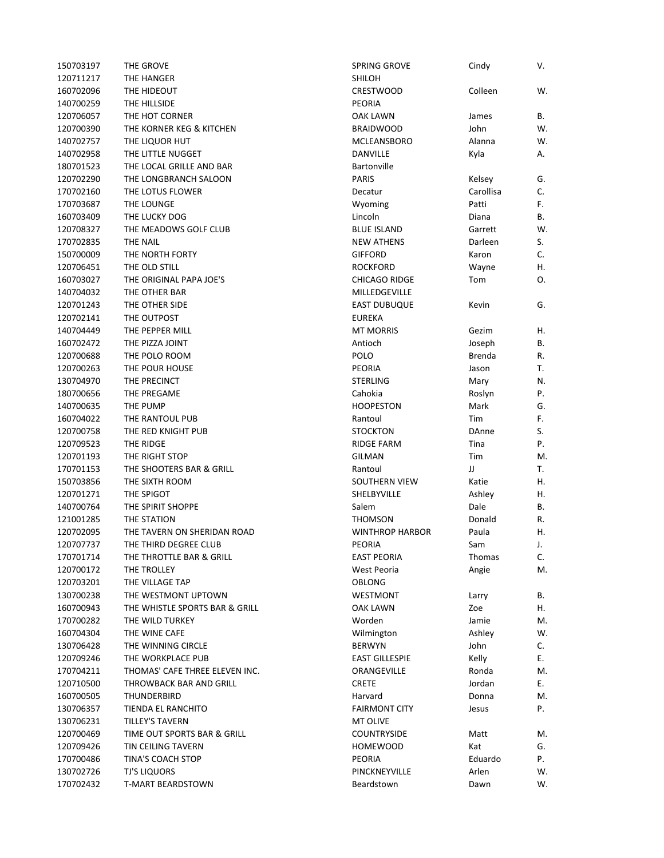| 150703197 | THE GROVE                      | <b>SPRING GROVE</b>    | Cindy        | V. |
|-----------|--------------------------------|------------------------|--------------|----|
| 120711217 | THE HANGER                     | <b>SHILOH</b>          |              |    |
| 160702096 | THE HIDEOUT                    | <b>CRESTWOOD</b>       | Colleen      | W. |
| 140700259 | THE HILLSIDE                   | <b>PEORIA</b>          |              |    |
| 120706057 | THE HOT CORNER                 | OAK LAWN               | James        | В. |
| 120700390 | THE KORNER KEG & KITCHEN       | <b>BRAIDWOOD</b>       | John         | W. |
| 140702757 | THE LIQUOR HUT                 | <b>MCLEANSBORO</b>     | Alanna       | W. |
| 140702958 | THE LITTLE NUGGET              | DANVILLE               | Kyla         | Α. |
| 180701523 | THE LOCAL GRILLE AND BAR       | Bartonville            |              |    |
| 120702290 | THE LONGBRANCH SALOON          | <b>PARIS</b>           | Kelsey       | G. |
| 170702160 | THE LOTUS FLOWER               | Decatur                | Carollisa    | C. |
| 170703687 | THE LOUNGE                     | Wyoming                | Patti        | F. |
| 160703409 | THE LUCKY DOG                  | Lincoln                | Diana        | В. |
| 120708327 | THE MEADOWS GOLF CLUB          | <b>BLUE ISLAND</b>     | Garrett      | W. |
| 170702835 | THE NAIL                       | <b>NEW ATHENS</b>      | Darleen      | S. |
| 150700009 | THE NORTH FORTY                | <b>GIFFORD</b>         | Karon        | C. |
| 120706451 | THE OLD STILL                  | <b>ROCKFORD</b>        | Wayne        | Η. |
| 160703027 | THE ORIGINAL PAPA JOE'S        | <b>CHICAGO RIDGE</b>   | Tom          | О. |
| 140704032 | THE OTHER BAR                  | MILLEDGEVILLE          |              |    |
| 120701243 | THE OTHER SIDE                 | <b>EAST DUBUQUE</b>    | Kevin        | G. |
| 120702141 | THE OUTPOST                    | <b>EUREKA</b>          |              |    |
| 140704449 | THE PEPPER MILL                | <b>MT MORRIS</b>       | Gezim        | Η. |
| 160702472 | THE PIZZA JOINT                | Antioch                | Joseph       | В. |
| 120700688 | THE POLO ROOM                  | POLO                   | Brenda       | R. |
| 120700263 | THE POUR HOUSE                 | <b>PEORIA</b>          | Jason        | т. |
| 130704970 | THE PRECINCT                   | <b>STERLING</b>        | Mary         | N. |
| 180700656 | THE PREGAME                    | Cahokia                | Roslyn       | Ρ. |
| 140700635 | THE PUMP                       | <b>HOOPESTON</b>       | Mark         | G. |
| 160704022 | THE RANTOUL PUB                | Rantoul                | <b>Tim</b>   | F. |
| 120700758 | THE RED KNIGHT PUB             | <b>STOCKTON</b>        | <b>DAnne</b> | S. |
| 120709523 | THE RIDGE                      | <b>RIDGE FARM</b>      | Tina         | Ρ. |
| 120701193 | THE RIGHT STOP                 | <b>GILMAN</b>          | Tim          | M. |
| 170701153 | THE SHOOTERS BAR & GRILL       | Rantoul                | IJ           | Т. |
| 150703856 | THE SIXTH ROOM                 | <b>SOUTHERN VIEW</b>   | Katie        | Η. |
|           |                                |                        |              |    |
| 120701271 | THE SPIGOT                     | SHELBYVILLE            | Ashley       | Η. |
| 140700764 | THE SPIRIT SHOPPE              | Salem                  | Dale         | В. |
| 121001285 | THE STATION                    | <b>THOMSON</b>         | Donald       | R. |
| 120702095 | THE TAVERN ON SHERIDAN ROAD    | <b>WINTHROP HARBOR</b> | Paula        | Η. |
| 120707737 | THE THIRD DEGREE CLUB          | PEORIA                 | Sam          | J. |
| 170701714 | THE THROTTLE BAR & GRILL       | <b>EAST PEORIA</b>     | Thomas       | C. |
| 120700172 | THE TROLLEY                    | West Peoria            | Angie        | М. |
| 120703201 | THE VILLAGE TAP                | OBLONG                 |              |    |
| 130700238 | THE WESTMONT UPTOWN            | WESTMONT               | Larry        | В. |
| 160700943 | THE WHISTLE SPORTS BAR & GRILL | OAK LAWN               | Zoe          | Η. |
| 170700282 | THE WILD TURKEY                | Worden                 | Jamie        | M. |
| 160704304 | THE WINE CAFE                  | Wilmington             | Ashley       | W. |
| 130706428 | THE WINNING CIRCLE             | <b>BERWYN</b>          | John         | C. |
| 120709246 | THE WORKPLACE PUB              | <b>EAST GILLESPIE</b>  | Kelly        | Е. |
| 170704211 | THOMAS' CAFE THREE ELEVEN INC. | ORANGEVILLE            | Ronda        | M. |
| 120710500 | THROWBACK BAR AND GRILL        | <b>CRETE</b>           | Jordan       | Е. |
| 160700505 | THUNDERBIRD                    | Harvard                | Donna        | M. |
| 130706357 | TIENDA EL RANCHITO             | <b>FAIRMONT CITY</b>   | Jesus        | Ρ. |
| 130706231 | TILLEY'S TAVERN                | MT OLIVE               |              |    |
| 120700469 | TIME OUT SPORTS BAR & GRILL    | <b>COUNTRYSIDE</b>     | Matt         | M. |
| 120709426 | TIN CEILING TAVERN             | <b>HOMEWOOD</b>        | Kat          | G. |
| 170700486 | TINA'S COACH STOP              | PEORIA                 | Eduardo      | Ρ. |
| 130702726 | <b>TJ'S LIQUORS</b>            | PINCKNEYVILLE          | Arlen        | W. |
| 170702432 | T-MART BEARDSTOWN              | Beardstown             | Dawn         | W. |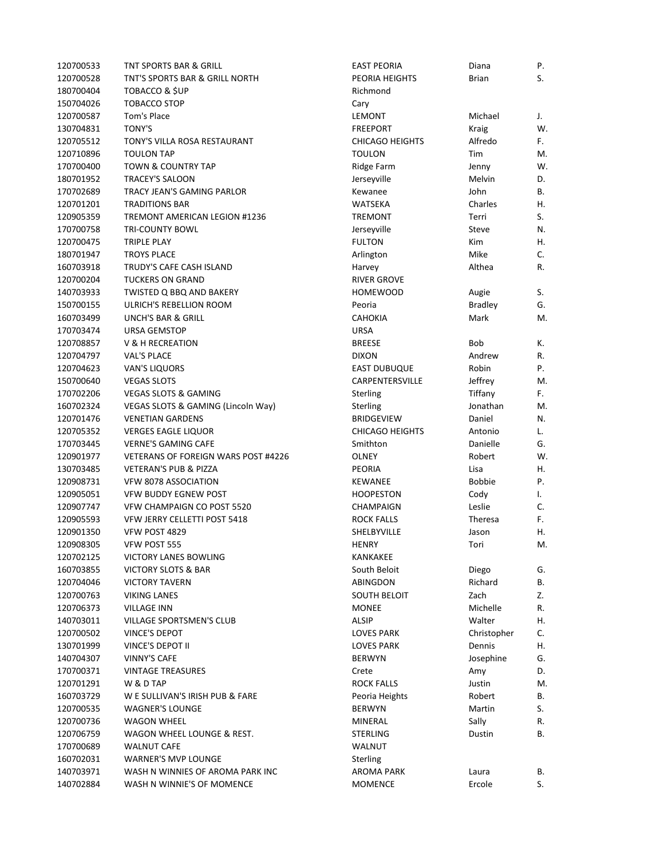| 120700533 | <b>TNT SPORTS BAR &amp; GRILL</b>             | <b>EAST PEORIA</b>     | Diana            | Ρ. |
|-----------|-----------------------------------------------|------------------------|------------------|----|
| 120700528 | TNT'S SPORTS BAR & GRILL NORTH                | PEORIA HEIGHTS         | Brian            | S. |
| 180700404 | <b>TOBACCO &amp; \$UP</b>                     | Richmond               |                  |    |
| 150704026 | <b>TOBACCO STOP</b>                           | Cary                   |                  |    |
| 120700587 | Tom's Place                                   | LEMONT                 | Michael          | J. |
| 130704831 | <b>TONY'S</b>                                 | <b>FREEPORT</b>        | Kraig            | W. |
| 120705512 | TONY'S VILLA ROSA RESTAURANT                  | <b>CHICAGO HEIGHTS</b> | Alfredo          | F. |
| 120710896 | <b>TOULON TAP</b>                             | <b>TOULON</b>          | Tim              | М. |
| 170700400 | <b>TOWN &amp; COUNTRY TAP</b>                 | Ridge Farm             | Jenny            | W. |
| 180701952 | <b>TRACEY'S SALOON</b>                        | Jerseyville            | Melvin           | D. |
| 170702689 | TRACY JEAN'S GAMING PARLOR                    | Kewanee                | John             | В. |
| 120701201 | <b>TRADITIONS BAR</b>                         | WATSEKA                | Charles          | Η. |
| 120905359 | TREMONT AMERICAN LEGION #1236                 | <b>TREMONT</b>         | Terri            | S. |
|           |                                               |                        |                  |    |
| 170700758 | <b>TRI-COUNTY BOWL</b>                        | Jerseyville            | Steve            | N. |
| 120700475 | <b>TRIPLE PLAY</b>                            | <b>FULTON</b>          | Kim              | Η. |
| 180701947 | <b>TROYS PLACE</b>                            | Arlington              | Mike             | C. |
| 160703918 | TRUDY'S CAFE CASH ISLAND                      | Harvey                 | Althea           | R. |
| 120700204 | <b>TUCKERS ON GRAND</b>                       | <b>RIVER GROVE</b>     |                  |    |
| 140703933 | TWISTED Q BBQ AND BAKERY                      | <b>HOMEWOOD</b>        | Augie            | S. |
| 150700155 | ULRICH'S REBELLION ROOM                       | Peoria                 | <b>Bradley</b>   | G. |
| 160703499 | <b>UNCH'S BAR &amp; GRILL</b>                 | <b>CAHOKIA</b>         | Mark             | M. |
| 170703474 | <b>URSA GEMSTOP</b>                           | <b>URSA</b>            |                  |    |
| 120708857 | <b>V &amp; H RECREATION</b>                   | <b>BREESE</b>          | Bob              | К. |
| 120704797 | <b>VAL'S PLACE</b>                            | <b>DIXON</b>           | Andrew           | R. |
| 120704623 | <b>VAN'S LIQUORS</b>                          | <b>EAST DUBUQUE</b>    | Robin            | P. |
| 150700640 | <b>VEGAS SLOTS</b>                            | CARPENTERSVILLE        | Jeffrey          | М. |
| 170702206 | <b>VEGAS SLOTS &amp; GAMING</b>               | Sterling               | Tiffany          | F. |
| 160702324 | <b>VEGAS SLOTS &amp; GAMING (Lincoln Way)</b> | Sterling               | Jonathan         | М. |
| 120701476 | <b>VENETIAN GARDENS</b>                       | <b>BRIDGEVIEW</b>      | Daniel           | N. |
| 120705352 | <b>VERGES EAGLE LIQUOR</b>                    | <b>CHICAGO HEIGHTS</b> | Antonio          | L. |
| 170703445 | <b>VERNE'S GAMING CAFE</b>                    | Smithton               | Danielle         | G. |
| 120901977 | VETERANS OF FOREIGN WARS POST #4226           | OLNEY                  | Robert           | W. |
| 130703485 | <b>VETERAN'S PUB &amp; PIZZA</b>              | PEORIA                 | Lisa             | Η. |
| 120908731 | VFW 8078 ASSOCIATION                          | <b>KEWANEE</b>         | <b>Bobbie</b>    | P. |
| 120905051 | <b>VFW BUDDY EGNEW POST</b>                   | <b>HOOPESTON</b>       | Cody             | I. |
| 120907747 | VFW CHAMPAIGN CO POST 5520                    | CHAMPAIGN              | Leslie           | C. |
| 120905593 | VFW JERRY CELLETTI POST 5418                  | <b>ROCK FALLS</b>      | <b>Theresa</b>   | F. |
| 120901350 | VFW POST 4829                                 | SHELBYVILLE            | Jason            | Η. |
| 120908305 | VFW POST 555                                  | <b>HENRY</b>           | Tori             | M. |
| 120702125 | VICTORY LANES BOWLING                         | KANKAKEE               |                  |    |
| 160703855 |                                               | South Beloit           |                  | G. |
|           | VICTORY SLOTS & BAR<br><b>VICTORY TAVERN</b>  | ABINGDON               | Diego<br>Richard | В. |
| 120704046 |                                               |                        |                  | Z. |
| 120700763 | <b>VIKING LANES</b>                           | <b>SOUTH BELOIT</b>    | Zach             |    |
| 120706373 | <b>VILLAGE INN</b>                            | <b>MONEE</b>           | Michelle         | R. |
| 140703011 | <b>VILLAGE SPORTSMEN'S CLUB</b>               | ALSIP                  | Walter           | Η. |
| 120700502 | VINCE'S DEPOT                                 | LOVES PARK             | Christopher      | C. |
| 130701999 | VINCE'S DEPOT II                              | <b>LOVES PARK</b>      | Dennis           | Η. |
| 140704307 | <b>VINNY'S CAFE</b>                           | <b>BERWYN</b>          | Josephine        | G. |
| 170700371 | <b>VINTAGE TREASURES</b>                      | Crete                  | Amy              | D. |
| 120701291 | W & D TAP                                     | <b>ROCK FALLS</b>      | Justin           | M. |
| 160703729 | W E SULLIVAN'S IRISH PUB & FARE               | Peoria Heights         | Robert           | В. |
| 120700535 | <b>WAGNER'S LOUNGE</b>                        | <b>BERWYN</b>          | Martin           | S. |
| 120700736 | <b>WAGON WHEEL</b>                            | MINERAL                | Sally            | R. |
| 120706759 | WAGON WHEEL LOUNGE & REST.                    | <b>STERLING</b>        | Dustin           | В. |
| 170700689 | <b>WALNUT CAFE</b>                            | WALNUT                 |                  |    |
| 160702031 | <b>WARNER'S MVP LOUNGE</b>                    | Sterling               |                  |    |
| 140703971 | WASH N WINNIES OF AROMA PARK INC              | AROMA PARK             | Laura            | В. |
| 140702884 | WASH N WINNIE'S OF MOMENCE                    | <b>MOMENCE</b>         | Ercole           | S. |
|           |                                               |                        |                  |    |